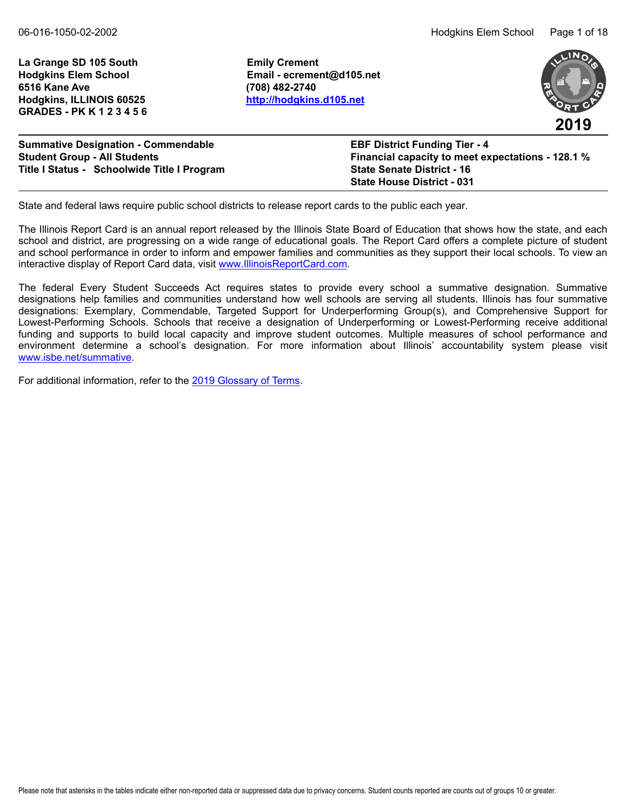La Grange SD 105 South **Emily Crement 6516 Kane Ave (708) 482-2740 Hodgkins, ILLINOIS 60525 <http://hodgkins.d105.net> GRADES - PK K 1 2 3 4 5 6**

**Hodgkins Elem School Email - ecrement@d105.net**



| <b>Summative Designation - Commendable</b>  | <b>EBF District Funding Tier - 4</b>              |
|---------------------------------------------|---------------------------------------------------|
| <b>Student Group - All Students</b>         | Financial capacity to meet expectations - 128.1 % |
| Title I Status - Schoolwide Title I Program | <b>State Senate District - 16</b>                 |
|                                             | <b>State House District - 031</b>                 |

State and federal laws require public school districts to release report cards to the public each year.

The Illinois Report Card is an annual report released by the Illinois State Board of Education that shows how the state, and each school and district, are progressing on a wide range of educational goals. The Report Card offers a complete picture of student and school performance in order to inform and empower families and communities as they support their local schools. To view an interactive display of Report Card data, visit [www.IllinoisReportCard.com](https://www.illinoisreportcard.com/).

The federal Every Student Succeeds Act requires states to provide every school a summative designation. Summative designations help families and communities understand how well schools are serving all students. Illinois has four summative designations: Exemplary, Commendable, Targeted Support for Underperforming Group(s), and Comprehensive Support for Lowest-Performing Schools. Schools that receive a designation of Underperforming or Lowest-Performing receive additional funding and supports to build local capacity and improve student outcomes. Multiple measures of school performance and environment determine a school's designation. For more information about Illinois' accountability system please visit [www.isbe.net/summative](https://www.isbe.net/summative).

For additional information, refer to th[e 2019 Glossary of Terms.](https://www.isbe.net/Documents/2019-Report-Card-Glossary-Terms.pdf)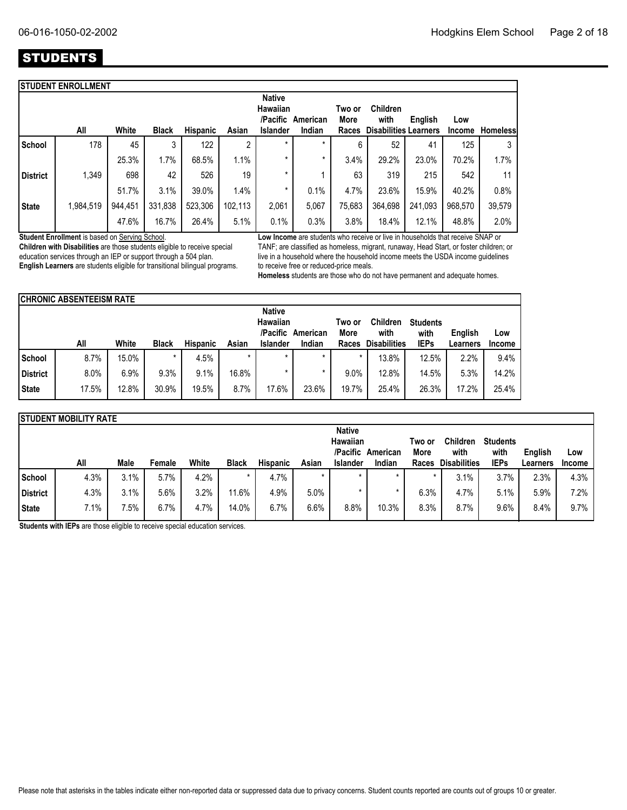## **STUDENTS**

|                 | <b>STUDENT ENROLLMENT</b> |         |              |          |         |                                              |          |                |                              |         |               |                 |
|-----------------|---------------------------|---------|--------------|----------|---------|----------------------------------------------|----------|----------------|------------------------------|---------|---------------|-----------------|
|                 |                           |         |              |          |         | <b>Native</b><br><b>Hawaiian</b><br>/Pacific | American | Two or<br>More | <b>Children</b><br>with      | English | Low           |                 |
|                 | All                       | White   | <b>Black</b> | Hispanic | Asian   | <b>Islander</b>                              | Indian   | Races          | <b>Disabilities Learners</b> |         | <b>Income</b> | <b>Homeless</b> |
| School          | 178                       | 45      | 3            | 122      | 2       | $\star$                                      | $\star$  | 6              | 52                           | 41      | 125           | 3               |
|                 |                           | 25.3%   | 1.7%         | 68.5%    | 1.1%    | $\star$                                      | *        | 3.4%           | 29.2%                        | 23.0%   | 70.2%         | 1.7%            |
| <b>District</b> | 1,349                     | 698     | 42           | 526      | 19      | *                                            |          | 63             | 319                          | 215     | 542           | 11              |
|                 |                           | 51.7%   | 3.1%         | 39.0%    | 1.4%    | *                                            | 0.1%     | 4.7%           | 23.6%                        | 15.9%   | 40.2%         | 0.8%            |
| <b>State</b>    | 1,984,519                 | 944,451 | 331,838      | 523,306  | 102,113 | 2,061                                        | 5,067    | 75,683         | 364,698                      | 241,093 | 968,570       | 39,579          |
|                 |                           | 47.6%   | 16.7%        | 26.4%    | 5.1%    | 0.1%                                         | 0.3%     | 3.8%           | 18.4%                        | 12.1%   | 48.8%         | 2.0%            |
|                 |                           |         |              |          |         |                                              |          |                |                              |         |               |                 |

**Student Enrollment** is based on Serving School.

**Children with Disabilities** are those students eligible to receive special education services through an IEP or support through a 504 plan. **English Learners** are students eligible for transitional bilingual programs. **Low Income** are students who receive or live in households that receive SNAP or TANF; are classified as homeless, migrant, runaway, Head Start, or foster children; or live in a household where the household income meets the USDA income guidelines to receive free or reduced-price meals.

**Homeless** students are those who do not have permanent and adequate homes.

|              | <b>ICHRONIC ABSENTEEISM RATE</b> |       |              |                 |         |                             |                    |               |                             |                     |                     |               |  |
|--------------|----------------------------------|-------|--------------|-----------------|---------|-----------------------------|--------------------|---------------|-----------------------------|---------------------|---------------------|---------------|--|
|              | <b>Native</b><br>Hawaiian        |       |              |                 |         |                             |                    |               |                             | <b>Students</b>     |                     |               |  |
|              | All                              | White | <b>Black</b> | <b>Hispanic</b> | Asian   | /Pacific<br><b>Islander</b> | American<br>Indian | More<br>Races | with<br><b>Disabilities</b> | with<br><b>IEPs</b> | English<br>Learners | Low<br>Income |  |
| School       | 8.7%                             | 15.0% |              | 4.5%            | $\star$ |                             | $\star$            |               | 13.8%                       | 12.5%               | 2.2%                | 9.4%          |  |
| District     | 8.0%                             | 6.9%  | 9.3%         | 9.1%            | 16.8%   |                             |                    | 9.0%          | 12.8%                       | 14.5%               | 5.3%                | 14.2%         |  |
| <b>State</b> | 17.5%                            | 12.8% | 30.9%        | 19.5%           | 8.7%    | 17.6%                       | 23.6%              | 19.7%         | 25.4%                       | 26.3%               | 17.2%               | 25.4%         |  |

|              | <b>ISTUDENT MOBILITY RATE</b> |                 |        |       |              |                 |         |                 |          |        |                     |                 |          |               |
|--------------|-------------------------------|-----------------|--------|-------|--------------|-----------------|---------|-----------------|----------|--------|---------------------|-----------------|----------|---------------|
|              |                               |                 |        |       |              |                 |         | <b>Native</b>   |          |        |                     |                 |          |               |
|              |                               |                 |        |       |              |                 |         | Hawaiian        |          | Two or | Children            | <b>Students</b> |          |               |
|              |                               |                 |        |       |              |                 |         | /Pacific        | American | More   | with                | with            | English  | Low           |
|              | All                           | Male            | Female | White | <b>Black</b> | <b>Hispanic</b> | Asian   | <b>Islander</b> | Indian   | Races  | <b>Disabilities</b> | <b>IEPs</b>     | Learners | <b>Income</b> |
| School       | 4.3%                          | 3.1%            | 5.7%   | 4.2%  |              | 4.7%            | $\star$ | $\star$         | $\star$  |        | 3.1%                | 3.7%            | 2.3%     | 4.3%          |
| District     | 4.3%                          | 3.1%            | 5.6%   | 3.2%  | 11.6%        | 4.9%            | 5.0%    |                 |          | 6.3%   | 4.7%                | 5.1%            | 5.9%     | 7.2%          |
| <b>State</b> | 7.1%                          | $^{\prime}.5\%$ | 6.7%   | 4.7%  | 14.0%        | 6.7%            | 6.6%    | 8.8%            | 10.3%    | 8.3%   | 8.7%                | $9.6\%$         | 8.4%     | 9.7%          |

**Students with IEPs** are those eligible to receive special education services.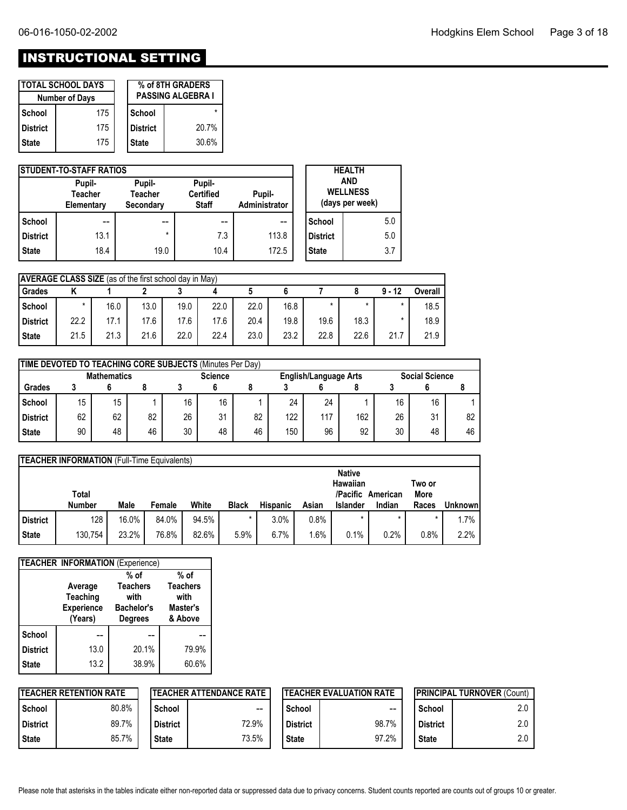# INSTRUCTIONAL SETTING

|            | <b>TOTAL SCHOOL DAYS</b><br><b>Number of Days</b> | % of 8TH GRADERS<br><b>PASSING ALGEBRA I</b> |       |  |  |  |  |
|------------|---------------------------------------------------|----------------------------------------------|-------|--|--|--|--|
| School     | 175                                               | School                                       |       |  |  |  |  |
| l District | 175                                               | l District                                   | 20.7% |  |  |  |  |
| l State    | 175                                               | <b>State</b>                                 | 30.6% |  |  |  |  |

|                 | <b>ISTUDENT-TO-STAFF RATIOS</b>        |                                       |                                            |                         |                 | <b>HEALTH</b>                                    |
|-----------------|----------------------------------------|---------------------------------------|--------------------------------------------|-------------------------|-----------------|--------------------------------------------------|
|                 | Pupil-<br><b>Teacher</b><br>Elementary | Pupil-<br><b>Teacher</b><br>Secondary | Pupil-<br><b>Certified</b><br><b>Staff</b> | Pupil-<br>Administrator |                 | <b>AND</b><br><b>WELLNESS</b><br>(days per week) |
| School          | --                                     | $- -$                                 | --                                         | --                      | School          | 5.0                                              |
| <b>District</b> | 13.1                                   | $\star$                               | 7.3                                        | 113.8                   | <b>District</b> | 5.0                                              |
| <b>State</b>    | 18.4                                   | 19.0                                  | 10.4                                       | 172.5                   | <b>State</b>    | 3.7                                              |

|              | <b>AVERAGE CLASS SIZE</b> (as of the first school day in May) |      |      |      |      |      |      |      |      |          |         |  |  |
|--------------|---------------------------------------------------------------|------|------|------|------|------|------|------|------|----------|---------|--|--|
| Grades       |                                                               |      |      |      |      |      |      |      |      | $9 - 12$ | Overall |  |  |
| School       | $\star$                                                       | 16.0 | 13.0 | 19.0 | 22.0 | 22.0 | 16.8 |      |      | $\star$  | 18.5    |  |  |
| District     | 22.2                                                          | 17.1 | 17.6 | 17.6 | 17.6 | 20.4 | 19.8 | 19.6 | 18.3 | $\star$  | 18.9    |  |  |
| <b>State</b> | 21.5                                                          | 21.3 | 21.6 | 22.0 | 22.4 | 23.0 | 23.2 | 22.8 | 22.6 | 21.7     | 21.9    |  |  |

|                 | TIME DEVOTED TO TEACHING CORE SUBJECTS (Minutes Per Day) |    |    |    |                                         |    |     |     |                       |    |    |    |  |
|-----------------|----------------------------------------------------------|----|----|----|-----------------------------------------|----|-----|-----|-----------------------|----|----|----|--|
|                 | <b>Mathematics</b>                                       |    |    |    | <b>Science</b><br>English/Language Arts |    |     |     | <b>Social Science</b> |    |    |    |  |
| <b>Grades</b>   |                                                          |    |    |    |                                         |    |     |     |                       |    |    |    |  |
| School          | 15                                                       | 15 |    | 16 | 16                                      |    | 24  | 24  |                       | 16 | 16 |    |  |
| <b>District</b> | 62                                                       | 62 | 82 | 26 | 31                                      | 82 | 122 | 117 | 162                   | 26 | 31 | 82 |  |
| <b>State</b>    | 90                                                       | 48 | 46 | 30 | 48                                      | 46 | 150 | 96  | 92                    | 30 | 48 | 46 |  |

|                 | <b>TEACHER INFORMATION (Full-Time Equivalents)</b> |       |        |       |              |                 |       |                      |          |                |                |  |  |
|-----------------|----------------------------------------------------|-------|--------|-------|--------------|-----------------|-------|----------------------|----------|----------------|----------------|--|--|
|                 |                                                    |       |        |       |              |                 |       | <b>Native</b>        |          |                |                |  |  |
|                 | Total                                              |       |        |       |              |                 |       | Hawaiian<br>/Pacific | American | Two or<br>More |                |  |  |
|                 | <b>Number</b>                                      | Male  | Female | White | <b>Black</b> | <b>Hispanic</b> | Asian | <b>Islander</b>      | Indian   | Races          | <b>Unknown</b> |  |  |
| <b>District</b> | 128                                                | 16.0% | 84.0%  | 94.5% |              | 3.0%            | 0.8%  |                      |          |                | 1.7%           |  |  |
| <b>State</b>    | 130,754                                            | 23.2% | 76.8%  | 82.6% | 5.9%         | 6.7%            | .6%   | 0.1%                 | 0.2%     | 0.8%           | 2.2%           |  |  |

|                 | TEACHER INFORMATION (Experience) |                   |                 |
|-----------------|----------------------------------|-------------------|-----------------|
|                 |                                  | $%$ of            | $%$ of          |
|                 | Average                          | <b>Teachers</b>   | <b>Teachers</b> |
|                 | Teaching                         | with              | with            |
|                 | <b>Experience</b>                | <b>Bachelor's</b> | Master's        |
|                 | (Years)                          | <b>Degrees</b>    | & Above         |
| <b>School</b>   |                                  |                   |                 |
| <b>District</b> | 13.0                             | 20.1%             | 79.9%           |
| <b>State</b>    | 13.2                             | 38.9%             | 60.6%           |

|                 | <b>ITEACHER RETENTION RATE</b> |              | <b>ITEACHER ATTENDANCE RATE</b> |                 | <b>ITEACHER EVALUATION RATE</b> | <b>IPRINCIPAL TURNOVER (Count)</b> |     |  |
|-----------------|--------------------------------|--------------|---------------------------------|-----------------|---------------------------------|------------------------------------|-----|--|
| School          | 80.8%                          | School       | $\sim$ $\sim$                   | School          | --                              | School                             | 2.0 |  |
| <b>District</b> | 89.7%                          | l District   | 72.9%                           | <b>District</b> | 98.7%                           | <b>District</b>                    | 2.0 |  |
| <b>State</b>    | 85.7%                          | <b>State</b> | 73.5%                           | <b>State</b>    | 97.2%                           | <b>State</b>                       | 2.0 |  |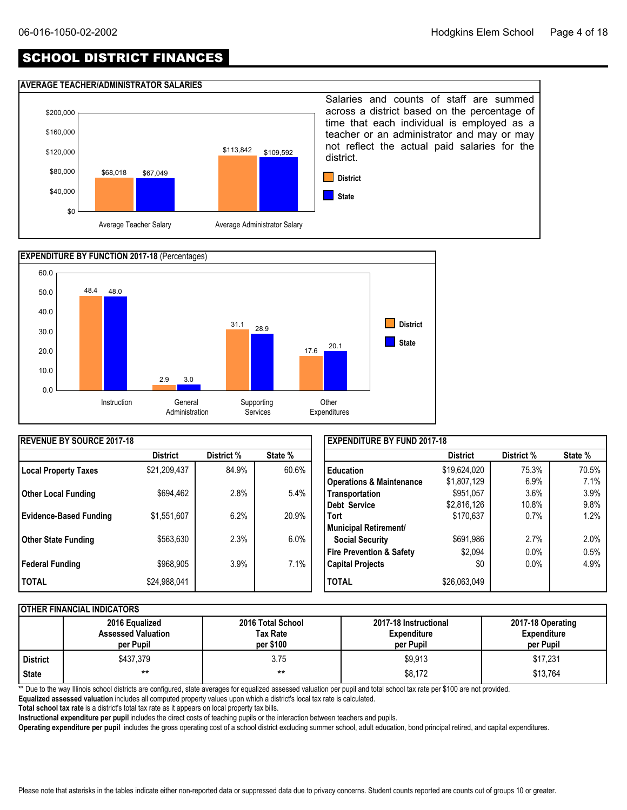## SCHOOL DISTRICT FINANCES

#### **AVERAGE TEACHER/ADMINISTRATOR SALARIES**





| <b>REVENUE BY SOURCE 2017-18</b> |                 |            |         | <b>EXPENDITURE BY FUND 2017-18</b>  |                 |            |         |
|----------------------------------|-----------------|------------|---------|-------------------------------------|-----------------|------------|---------|
|                                  | <b>District</b> | District % | State % |                                     | <b>District</b> | District % | State % |
| <b>Local Property Taxes</b>      | \$21,209,437    | 84.9%      | 60.6%   | <b>Education</b>                    | \$19,624,020    | 75.3%      | 70.5%   |
|                                  |                 |            |         | <b>Operations &amp; Maintenance</b> | \$1,807,129     | 6.9%       | 7.1%    |
| <b>Other Local Funding</b>       | \$694,462       | 2.8%       | 5.4%    | Transportation                      | \$951,057       | 3.6%       | 3.9%    |
|                                  |                 |            |         | Debt Service                        | \$2,816,126     | 10.8%      | 9.8%    |
| <b>Evidence-Based Funding</b>    | \$1,551,607     | 6.2%       | 20.9%   | <b>Tort</b>                         | \$170,637       | 0.7%       | 1.2%    |
|                                  |                 |            |         | Municipal Retirement/               |                 |            |         |
| Other State Funding              | \$563,630       | 2.3%       | $6.0\%$ | <b>Social Security</b>              | \$691,986       | 2.7%       | 2.0%    |
|                                  |                 |            |         | <b>Fire Prevention &amp; Safety</b> | \$2,094         | 0.0%       | 0.5%    |
| Federal Funding                  | \$968,905       | 3.9%       | 7.1%    | <b>Capital Projects</b>             | \$0             | 0.0%       | 4.9%    |
| <b>TOTAL</b>                     | \$24,988,041    |            |         | <b>TOTAL</b>                        | \$26,063,049    |            |         |

#### **OTHER FINANCIAL INDICATORS**

|          | 2016 Equalized<br><b>Assessed Valuation</b><br>per Pupil | 2016 Total School<br>Tax Rate<br>per \$100 | 2017-18 Instructional<br><b>Expenditure</b><br>per Pupil | 2017-18 Operating<br><b>Expenditure</b><br>per Pupil |
|----------|----------------------------------------------------------|--------------------------------------------|----------------------------------------------------------|------------------------------------------------------|
| District | \$437.379                                                | 3.75                                       | \$9,913                                                  | \$17,231                                             |
| State    | $***$                                                    | $***$                                      | \$8,172                                                  | \$13,764                                             |

\*\* Due to the way Illinois school districts are configured, state averages for equalized assessed valuation per pupil and total school tax rate per \$100 are not provided.

**Equalized assessed valuation** includes all computed property values upon which a district's local tax rate is calculated.

**Total school tax rate** is a district's total tax rate as it appears on local property tax bills.

**Instructional expenditure per pupil** includes the direct costs of teaching pupils or the interaction between teachers and pupils.

**Operating expenditure per pupil** includes the gross operating cost of a school district excluding summer school, adult education, bond principal retired, and capital expenditures.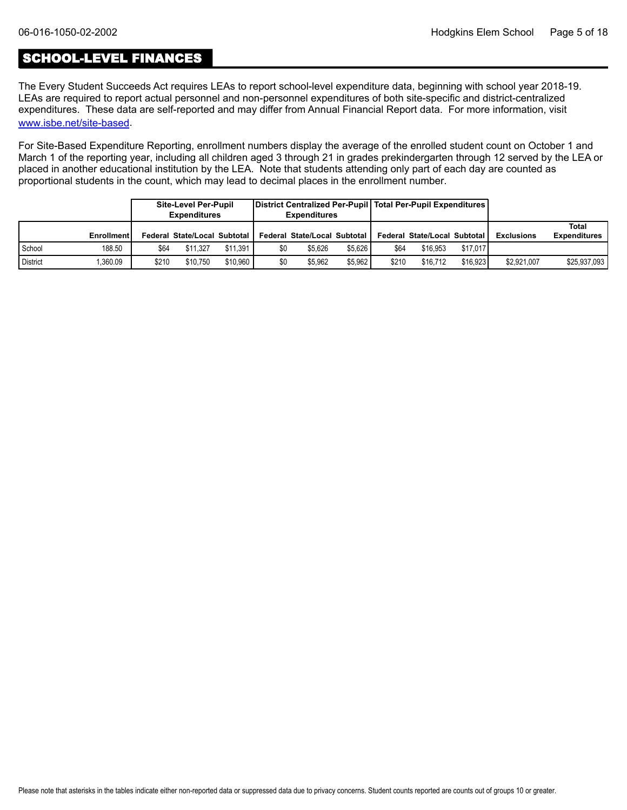## SCHOOL-LEVEL FINANCES

[www.isbe.net/site-based](https://www.isbe.net/site-based). The Every Student Succeeds Act requires LEAs to report school-level expenditure data, beginning with school year 2018-19. LEAs are required to report actual personnel and non-personnel expenditures of both site-specific and district-centralized expenditures. These data are self-reported and may differ from Annual Financial Report data. For more information, visit

For Site-Based Expenditure Reporting, enrollment numbers display the average of the enrolled student count on October 1 and March 1 of the reporting year, including all children aged 3 through 21 in grades prekindergarten through 12 served by the LEA or placed in another educational institution by the LEA. Note that students attending only part of each day are counted as proportional students in the count, which may lead to decimal places in the enrollment number.

|                 |                   |       | Site-Level Per-Pupil<br><b>Expenditures</b> |          |     | District Centralized Per-Pupil   Total Per-Pupil Expenditures  <br><b>Expenditures</b> |         |       |                              |          |                   |                              |
|-----------------|-------------------|-------|---------------------------------------------|----------|-----|----------------------------------------------------------------------------------------|---------|-------|------------------------------|----------|-------------------|------------------------------|
|                 | <b>Enrollment</b> |       | Federal State/Local Subtotal                |          |     | Federal State/Local Subtotal                                                           |         |       | Federal State/Local Subtotal |          | <b>Exclusions</b> | Total<br><b>Expenditures</b> |
| School          | 188.50            | \$64  | \$11.327                                    | \$11.391 | \$0 | \$5.626                                                                                | \$5.626 | \$64  | \$16.953                     | \$17.017 |                   |                              |
| <b>District</b> | .360.09           | \$210 | \$10.750                                    | \$10.960 | \$0 | \$5.962                                                                                | \$5.962 | \$210 | \$16.712                     | \$16.923 | \$2,921,007       | \$25,937,093                 |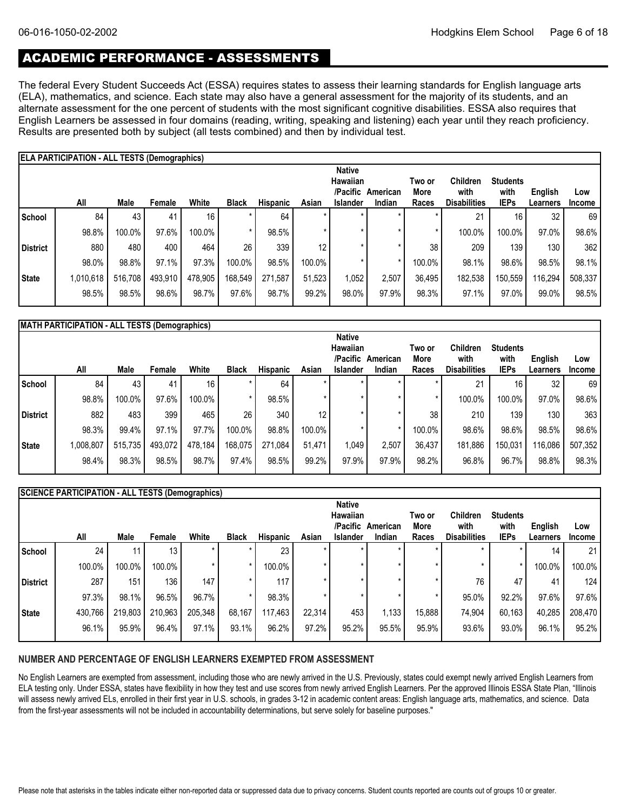## ACADEMIC PERFORMANCE - ASSESSMENTS

The federal Every Student Succeeds Act (ESSA) requires states to assess their learning standards for English language arts (ELA), mathematics, and science. Each state may also have a general assessment for the majority of its students, and an alternate assessment for the one percent of students with the most significant cognitive disabilities. ESSA also requires that English Learners be assessed in four domains (reading, writing, speaking and listening) each year until they reach proficiency. Results are presented both by subject (all tests combined) and then by individual test.

|              | <b>ELA PARTICIPATION - ALL TESTS (Demographics)</b> |         |         |         |              |                 |        |                                                          |                    |                         |                                         |                                        |                     |                      |
|--------------|-----------------------------------------------------|---------|---------|---------|--------------|-----------------|--------|----------------------------------------------------------|--------------------|-------------------------|-----------------------------------------|----------------------------------------|---------------------|----------------------|
|              | All                                                 | Male    | Female  | White   | <b>Black</b> | <b>Hispanic</b> | Asian  | <b>Native</b><br>Hawaiian<br>/Pacific<br><b>Islander</b> | American<br>Indian | Two or<br>More<br>Races | Children<br>with<br><b>Disabilities</b> | <b>Students</b><br>with<br><b>IEPs</b> | English<br>Learners | Low<br><b>Income</b> |
| School       | 84                                                  | 43      | 41      | 16      |              | 64              |        |                                                          |                    |                         | 21                                      | 16                                     | 32                  | 69                   |
|              | 98.8%                                               | 100.0%  | 97.6%   | 100.0%  |              | 98.5%           |        |                                                          | $\star$            | $\star$                 | 100.0%                                  | 100.0%                                 | 97.0%               | 98.6%                |
| District     | 880                                                 | 480     | 400     | 464     | 26           | 339             | 12     |                                                          | $\star$            | 38                      | 209                                     | 139                                    | 130                 | 362                  |
|              | 98.0%                                               | 98.8%   | 97.1%   | 97.3%   | 100.0%       | 98.5%           | 100.0% |                                                          | $\star$            | 100.0%                  | 98.1%                                   | 98.6%                                  | 98.5%               | 98.1%                |
| <b>State</b> | 1,010,618                                           | 516,708 | 493,910 | 478,905 | 168,549      | 271,587         | 51,523 | 1,052                                                    | 2,507              | 36,495                  | 182,538                                 | 150,559                                | 116,294             | 508,337              |
|              | 98.5%                                               | 98.5%   | 98.6%   | 98.7%   | 97.6%        | 98.7%           | 99.2%  | 98.0%                                                    | 97.9%              | 98.3%                   | 97.1%                                   | 97.0%                                  | 99.0%               | 98.5%                |

| MATH PARTICIPATION - ALL TESTS (Demographics) |  |
|-----------------------------------------------|--|

|          |           |         |         |                 |              |                 |        | <b>Native</b>   |          |        |                     |                 |          |         |
|----------|-----------|---------|---------|-----------------|--------------|-----------------|--------|-----------------|----------|--------|---------------------|-----------------|----------|---------|
|          |           |         |         |                 |              |                 |        | Hawaiian        |          | Two or | <b>Children</b>     | <b>Students</b> |          |         |
|          |           |         |         |                 |              |                 |        | /Pacific        | American | More   | with                | with            | English  | Low     |
|          | All       | Male    | Female  | White           | <b>Black</b> | <b>Hispanic</b> | Asian  | <b>Islander</b> | Indian   | Races  | <b>Disabilities</b> | <b>IEPs</b>     | Learners | Income  |
| l School | 84        | 43      | 41      | 16 <sup>1</sup> |              | 64              |        |                 |          |        | 21                  | 16              | 32       | 69      |
|          | 98.8%     | 100.0%  | 97.6%   | 100.0%          |              | 98.5%           |        |                 |          |        | 100.0%              | 100.0%          | 97.0%    | 98.6%   |
| District | 882       | 483     | 399     | 465             | 26           | 340             | 12     |                 |          | 38     | 210                 | 139             | 130      | 363     |
|          | 98.3%     | 99.4%   | 97.1%   | 97.7%           | 100.0%       | 98.8%           | 100.0% |                 |          | 100.0% | 98.6%               | 98.6%           | 98.5%    | 98.6%   |
| State    | 1,008,807 | 515,735 | 493,072 | 478,184         | 168,075      | 271,084         | 51,471 | 1,049           | 2,507    | 36,437 | 181,886             | 150,031         | 116,086  | 507,352 |
|          | 98.4%     | 98.3%   | 98.5%   | 98.7%           | 97.4%        | 98.5%           | 99.2%  | 97.9%           | 97.9%    | 98.2%  | 96.8%               | 96.7%           | 98.8%    | 98.3%   |
|          |           |         |         |                 |              |                 |        |                 |          |        |                     |                 |          |         |

|              | SCIENCE PARTICIPATION - ALL TESTS (Demographics) |         |                  |         |              |          |         |                 |          |        |                     |                 |          |               |
|--------------|--------------------------------------------------|---------|------------------|---------|--------------|----------|---------|-----------------|----------|--------|---------------------|-----------------|----------|---------------|
|              |                                                  |         |                  |         |              |          |         | <b>Native</b>   |          |        |                     |                 |          |               |
|              |                                                  |         |                  |         |              |          |         | Hawaiian        |          | Two or | <b>Children</b>     | <b>Students</b> |          |               |
|              |                                                  |         |                  |         |              |          |         | /Pacific        | American | More   | with                | with            | English  | Low           |
|              | All                                              | Male    | Female           | White   | <b>Black</b> | Hispanic | Asian   | <b>Islander</b> | Indian   | Races  | <b>Disabilities</b> | <b>IEPs</b>     | Learners | <b>Income</b> |
| School       | 24                                               | 11      | 13 <sub>1</sub>  |         |              | 23       | $\star$ | $\star$         |          |        | $\star$             |                 | 14       | 21            |
|              | 100.0%                                           | 100.0%  | 100.0%           |         |              | 100.0%   | $\star$ |                 |          |        |                     |                 | 100.0%   | 100.0%        |
| District     | 287                                              | 151     | 136 <sub>1</sub> | 147     |              | 117      | $\star$ |                 |          |        | 76                  | 47              | 41       | 124           |
|              | 97.3%                                            | 98.1%   | 96.5%            | 96.7%   |              | 98.3%    |         |                 |          |        | 95.0%               | 92.2%           | 97.6%    | 97.6%         |
| <b>State</b> | 430,766                                          | 219,803 | 210,963          | 205,348 | 68,167       | 117,463  | 22,314  | 453             | 1,133    | 15,888 | 74,904              | 60,163          | 40,285   | 208,470       |
|              | 96.1%                                            | 95.9%   | 96.4%            | 97.1%   | 93.1%        | 96.2%    | 97.2%   | 95.2%           | 95.5%    | 95.9%  | 93.6%               | 93.0%           | 96.1%    | 95.2%         |

#### **NUMBER AND PERCENTAGE OF ENGLISH LEARNERS EXEMPTED FROM ASSESSMENT**

No English Learners are exempted from assessment, including those who are newly arrived in the U.S. Previously, states could exempt newly arrived English Learners from ELA testing only. Under ESSA, states have flexibility in how they test and use scores from newly arrived English Learners. Per the approved Illinois ESSA State Plan, "Illinois will assess newly arrived ELs, enrolled in their first year in U.S. schools, in grades 3-12 in academic content areas: English language arts, mathematics, and science. Data from the first-year assessments will not be included in accountability determinations, but serve solely for baseline purposes."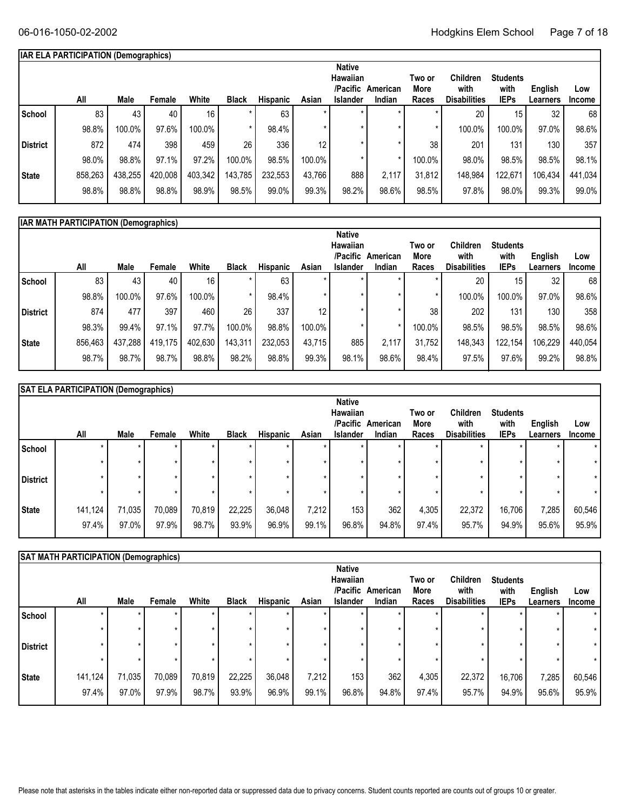### **IAR ELA PARTICIPATION (Demographics)**

|                 | All     | Male    | Female  | White   | <b>Black</b> | <b>Hispanic</b> | Asian  | <b>Native</b><br>Hawaiian<br>/Pacific<br><b>Islander</b> | American<br>Indian | Two or<br>More<br>Races | <b>Children</b><br>with<br><b>Disabilities</b> | <b>Students</b><br>with<br><b>IEPs</b> | English<br>Learners | Low<br><b>Income</b> |
|-----------------|---------|---------|---------|---------|--------------|-----------------|--------|----------------------------------------------------------|--------------------|-------------------------|------------------------------------------------|----------------------------------------|---------------------|----------------------|
| School          | 83      | 43      | 40      | 16      |              | 63              |        |                                                          |                    |                         | 20                                             | 15 <sub>1</sub>                        | 32                  | 68                   |
|                 | 98.8%   | 100.0%  | 97.6%   | 100.0%  |              | 98.4%           |        |                                                          |                    |                         | 100.0%                                         | 100.0%                                 | 97.0%               | 98.6%                |
| <b>District</b> | 872     | 474     | 398     | 459     | 26           | 336             | 12     |                                                          |                    | 38                      | 201                                            | 131                                    | 130                 | 357                  |
|                 | 98.0%   | 98.8%   | 97.1%   | 97.2%   | 100.0%       | 98.5%           | 100.0% |                                                          |                    | 100.0%                  | 98.0%                                          | 98.5%                                  | 98.5%               | 98.1%                |
| <b>State</b>    | 858,263 | 438,255 | 420,008 | 403,342 | 143,785      | 232,553         | 43.766 | 888                                                      | 2,117              | 31,812                  | 148,984                                        | 122.671                                | 106,434             | 441,034              |
|                 | 98.8%   | 98.8%   | 98.8%   | 98.9%   | 98.5%        | 99.0%           | 99.3%  | 98.2%                                                    | 98.6%              | 98.5%                   | 97.8%                                          | 98.0%                                  | 99.3%               | 99.0%                |
|                 |         |         |         |         |              |                 |        |                                                          |                    |                         |                                                |                                        |                     |                      |

|                 | <b>IAR MATH PARTICIPATION (Demographics)</b> |         |         |         |              |          |                 |                                                   |                    |                         |                                                |                                        |                     |                      |
|-----------------|----------------------------------------------|---------|---------|---------|--------------|----------|-----------------|---------------------------------------------------|--------------------|-------------------------|------------------------------------------------|----------------------------------------|---------------------|----------------------|
|                 | All                                          | Male    | Female  | White   | <b>Black</b> | Hispanic | Asian           | <b>Native</b><br>Hawaiian<br>/Pacific<br>Islander | American<br>Indian | Two or<br>More<br>Races | <b>Children</b><br>with<br><b>Disabilities</b> | <b>Students</b><br>with<br><b>IEPs</b> | English<br>Learners | Low<br><b>Income</b> |
| School          | 83                                           | 43      | 40      | 16      | $\star$      | 63       | $\star$         |                                                   |                    |                         | 20                                             | 15                                     | 32                  | 68                   |
|                 | 98.8%                                        | 100.0%  | 97.6%   | 100.0%  | $\star$      | 98.4%    | $\star$         |                                                   |                    |                         | 100.0%                                         | 100.0%                                 | 97.0%               | 98.6%                |
| <b>District</b> | 874                                          | 477     | 397     | 460     | 26           | 337      | 12 <sub>1</sub> |                                                   |                    | 38                      | 202                                            | 131                                    | 130                 | 358                  |
|                 | 98.3%                                        | 99.4%   | 97.1%   | 97.7%   | 100.0%       | 98.8%    | 100.0%          |                                                   |                    | 100.0%                  | 98.5%                                          | 98.5%                                  | 98.5%               | 98.6%                |
| State           | 856,463                                      | 437,288 | 419.175 | 402,630 | 143,311      | 232,053  | 43.715          | 885                                               | 2.117              | 31.752                  | 148,343                                        | 122.154                                | 106,229             | 440,054              |
|                 | 98.7%                                        | 98.7%   | 98.7%   | 98.8%   | 98.2%        | 98.8%    | 99.3%           | 98.1%                                             | 98.6%              | 98.4%                   | 97.5%                                          | 97.6%                                  | 99.2%               | 98.8%                |
|                 |                                              |         |         |         |              |          |                 |                                                   |                    |                         |                                                |                                        |                     |                      |

|                 | <b>SAT ELA PARTICIPATION (Demographics)</b> |        |        |         |              |          |       |                                                          |                    |                         |                                                |                                        |                     |                      |
|-----------------|---------------------------------------------|--------|--------|---------|--------------|----------|-------|----------------------------------------------------------|--------------------|-------------------------|------------------------------------------------|----------------------------------------|---------------------|----------------------|
|                 | All                                         | Male   | Female | White   | <b>Black</b> | Hispanic | Asian | <b>Native</b><br>Hawaiian<br>/Pacific<br><b>Islander</b> | American<br>Indian | Two or<br>More<br>Races | <b>Children</b><br>with<br><b>Disabilities</b> | <b>Students</b><br>with<br><b>IEPs</b> | English<br>Learners | Low<br><b>Income</b> |
| School          | $\star$                                     |        | ÷      |         |              |          |       |                                                          |                    |                         | $\star$                                        |                                        |                     | $\star$              |
| <b>District</b> | $\star$<br>÷                                |        | ÷      | $\star$ |              | $\star$  |       |                                                          | $\star$<br>$\star$ |                         | $\star$<br>÷                                   | $\star$                                | $\star$<br>$\star$  | $\star$              |
|                 | $\star$                                     |        |        |         |              |          |       |                                                          | $\star$            |                         | $\star$                                        |                                        |                     | $\star$              |
| State           | 141,124                                     | 71,035 | 70,089 | 70,819  | 22,225       | 36,048   | 7,212 | 153                                                      | 362                | 4,305                   | 22,372                                         | 16,706                                 | 7,285               | 60,546               |
|                 | 97.4%                                       | 97.0%  | 97.9%  | 98.7%   | 93.9%        | 96.9%    | 99.1% | 96.8%                                                    | 94.8%              | 97.4%                   | 95.7%                                          | 94.9%                                  | 95.6%               | 95.9%                |

|                 | SAT MATH PARTICIPATION (Demographics) |                 |                 |                    |                 |                    |                |                                                          |                    |                         |                                         |                                        |                     |                      |
|-----------------|---------------------------------------|-----------------|-----------------|--------------------|-----------------|--------------------|----------------|----------------------------------------------------------|--------------------|-------------------------|-----------------------------------------|----------------------------------------|---------------------|----------------------|
|                 | All                                   | Male            | Female          | White              | <b>Black</b>    | <b>Hispanic</b>    | Asian          | <b>Native</b><br>Hawaiian<br>/Pacific<br><b>Islander</b> | American<br>Indian | Two or<br>More<br>Races | Children<br>with<br><b>Disabilities</b> | <b>Students</b><br>with<br><b>IEPs</b> | English<br>Learners | Low<br><b>Income</b> |
| School          | *                                     |                 | ÷<br>÷          | $\star$<br>$\star$ |                 | $\star$<br>$\star$ |                |                                                          |                    |                         |                                         | $\star$<br>$\star$                     |                     |                      |
| <b>District</b> | ÷                                     |                 | ÷               | $\star$            |                 | $\star$<br>$\star$ |                |                                                          |                    |                         |                                         | $\star$<br>$\star$                     | ÷                   | $\star$              |
| <b>State</b>    | 141,124<br>97.4%                      | 71,035<br>97.0% | 70,089<br>97.9% | 70,819<br>98.7%    | 22,225<br>93.9% | 36,048<br>96.9%    | 7,212<br>99.1% | 153<br>96.8%                                             | 362<br>94.8%       | 4,305<br>97.4%          | 22,372<br>95.7%                         | 16,706<br>94.9%                        | 7,285<br>95.6%      | 60,546<br>95.9%      |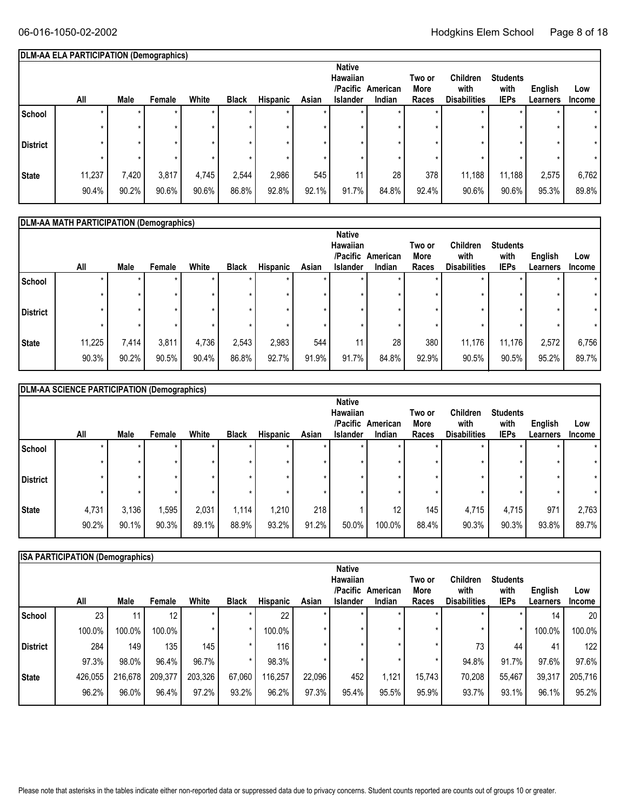#### **Students with IEPs Two or More All Races English** White Black Hispanic Asian Islander Indian Races Disabilities IEPs Learners Income **Low DLM-AA ELA PARTICIPATION (Demographics) American /Pacific Indian Native Hawaiian Male Female White Black Hispanic Asian Islander School** \* \* \* \* \* \* \* \* \* \* \* \* \* \* \* \* \* \* \* \* \* \* \* \* \* **District**  $\begin{vmatrix} * & * & * & * \end{vmatrix}$   $\begin{vmatrix} * & * & * & * \end{vmatrix}$   $\begin{vmatrix} * & * & * & * \end{vmatrix}$   $\begin{vmatrix} * & * & * & * \end{vmatrix}$   $\begin{vmatrix} * & * & * & * \end{vmatrix}$ \* \* \* \* \* \* \* \* \* \* \* \* **State** | 11,237 | 7,420 | 3,817 | 4,745 | 2,544 | 2,986 | 545 | 11 | 28 | 378 | 11,188 | 11,188 | 2,575 | 6,762 90.2% 90.6% 90.6% 86.8% 92.8% 92.1% 91.7% 84.8% 92.4% 90.6% 95.3% 89.8% \* 90.4% \* **Children with Disabilities** \* \* \* \* 11,188 90.6%

|                 | DLM-AA MATH PARTICIPATION (Demographics) |       |        |       |              |                 |       |                             |          |                |                         |                         |          |               |
|-----------------|------------------------------------------|-------|--------|-------|--------------|-----------------|-------|-----------------------------|----------|----------------|-------------------------|-------------------------|----------|---------------|
|                 |                                          |       |        |       |              |                 |       | <b>Native</b>               |          |                |                         |                         |          |               |
|                 |                                          |       |        |       |              |                 |       | <b>Hawaiian</b><br>/Pacific | American | Two or<br>More | <b>Children</b><br>with | <b>Students</b><br>with | English  | Low           |
|                 | All                                      | Male  | Female | White | <b>Black</b> | <b>Hispanic</b> | Asian | <b>Islander</b>             | Indian   | Races          | <b>Disabilities</b>     | <b>IEPs</b>             | Learners | <b>Income</b> |
| School          |                                          |       |        |       |              |                 |       | ÷                           |          |                |                         |                         | ÷        | $\star$       |
|                 |                                          | ÷     |        |       |              |                 |       |                             |          |                | ٠                       |                         | ÷        |               |
| <b>District</b> |                                          |       |        |       |              |                 |       |                             |          |                |                         |                         | $\star$  | $\star$       |
|                 |                                          |       |        |       |              |                 |       |                             |          |                |                         |                         | ÷        |               |
| <b>State</b>    | 11,225                                   | 7,414 | 3,811  | 4,736 | 2,543        | 2,983           | 544   | 11                          | 28       | 380            | 11,176                  | 11,176                  | 2,572    | 6,756         |
|                 | 90.3%                                    | 90.2% | 90.5%  | 90.4% | 86.8%        | 92.7%           | 91.9% | 91.7%                       | 84.8%    | 92.9%          | 90.5%                   | 90.5%                   | 95.2%    | 89.7%         |

|                 | DLM-AA SCIENCE PARTICIPATION (Demographics) |             |         |         |              |                 |       |                 |          |        |                     |                 |          |               |
|-----------------|---------------------------------------------|-------------|---------|---------|--------------|-----------------|-------|-----------------|----------|--------|---------------------|-----------------|----------|---------------|
|                 |                                             |             |         |         |              |                 |       | <b>Native</b>   |          |        |                     |                 |          |               |
|                 |                                             |             |         |         |              |                 |       | Hawaiian        |          | Two or | <b>Children</b>     | <b>Students</b> |          |               |
|                 |                                             |             |         |         |              |                 |       | /Pacific        | American | More   | with                | with            | English  | Low           |
|                 | All                                         | <b>Male</b> | Female  | White   | <b>Black</b> | <b>Hispanic</b> | Asian | <b>Islander</b> | Indian   | Races  | <b>Disabilities</b> | <b>IEPs</b>     | Learners | <b>Income</b> |
| School          |                                             |             | $\star$ |         |              | $\star$         |       |                 |          |        | $\star$             | $\star$         |          | $\star$       |
|                 |                                             |             | ÷       | $\star$ |              | $\star$         |       |                 |          |        | ÷                   | $\star$         |          |               |
| <b>District</b> |                                             |             | ÷       |         |              |                 |       |                 |          |        |                     | $\star$         |          | $\star$       |
|                 | $\star$                                     |             | ÷       | $\star$ |              |                 |       |                 |          |        |                     | $\star$         |          |               |
| <b>State</b>    | 4,731                                       | 3,136       | ,595    | 2,031   | 1,114        | 1,210           | 218   |                 | 12       | 145    | 4,715               | 4,715           | 971      | 2,763         |
|                 | 90.2%                                       | 90.1%       | 90.3%   | 89.1%   | 88.9%        | 93.2%           | 91.2% | 50.0%           | 100.0%   | 88.4%  | 90.3%               | 90.3%           | 93.8%    | 89.7%         |

|              | <b>ISA PARTICIPATION (Demographics)</b> |         |         |         |              |          |        |                 |          |        |                     |                 |          |                  |
|--------------|-----------------------------------------|---------|---------|---------|--------------|----------|--------|-----------------|----------|--------|---------------------|-----------------|----------|------------------|
|              |                                         |         |         |         |              |          |        | <b>Native</b>   |          |        |                     |                 |          |                  |
|              |                                         |         |         |         |              |          |        | Hawaiian        |          | Two or | <b>Children</b>     | <b>Students</b> |          |                  |
|              |                                         |         |         |         |              |          |        | /Pacific        | American | More   | with                | with            | English  | Low              |
|              | All                                     | Male    | Female  | White   | <b>Black</b> | Hispanic | Asian  | <b>Islander</b> | Indian   | Races  | <b>Disabilities</b> | <b>IEPs</b>     | Learners | <b>Income</b>    |
| School       | 23                                      | 11      | 12      |         |              | 22       |        |                 |          |        |                     |                 | 14       | 20               |
|              | 100.0%                                  | 100.0%  | 100.0%  |         |              | 100.0%   |        |                 |          |        |                     | $\star$         | 100.0%   | 100.0%           |
| District     | 284                                     | 149     | 135     | 145     |              | 116      |        |                 | ÷        | ÷      | 73                  | 44              | 41       | 122 <sub>1</sub> |
|              | 97.3%                                   | 98.0%   | 96.4%   | 96.7%   |              | 98.3%    |        |                 |          | $\ast$ | 94.8%               | 91.7%           | 97.6%    | 97.6%            |
| <b>State</b> | 426,055                                 | 216,678 | 209,377 | 203,326 | 67,060       | 116,257  | 22,096 | 452             | 1,121    | 15,743 | 70,208              | 55,467          | 39,317   | 205,716          |
|              | 96.2%                                   | 96.0%   | 96.4%   | 97.2%   | 93.2%        | 96.2%    | 97.3%  | 95.4%           | 95.5%    | 95.9%  | 93.7%               | $93.1\%$        | 96.1%    | 95.2%            |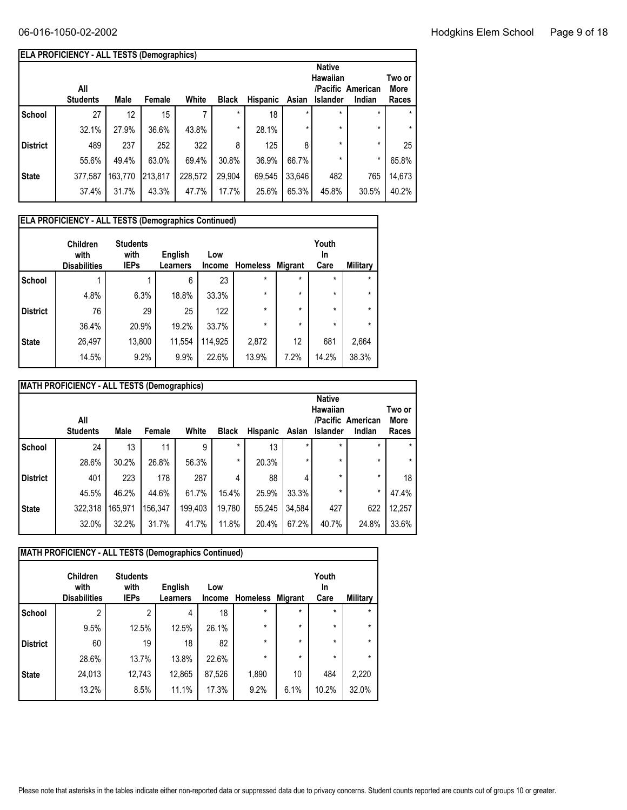|                 | <b>ELA PROFICIENCY - ALL TESTS (Demographics)</b>                                                                                                                                              |                 |         |         |         |        |         |         |         |         |  |
|-----------------|------------------------------------------------------------------------------------------------------------------------------------------------------------------------------------------------|-----------------|---------|---------|---------|--------|---------|---------|---------|---------|--|
|                 | <b>Native</b><br>Hawaiian<br>Two or<br>/Pacific American<br>All<br>More<br>White<br><b>Students</b><br>Male<br><b>Black</b><br><b>Hispanic</b><br>Asian<br><b>Islander</b><br>Female<br>Indian |                 |         |         |         |        |         |         |         |         |  |
|                 |                                                                                                                                                                                                |                 |         |         |         |        |         |         |         | Races   |  |
| School          | 27                                                                                                                                                                                             | 12 <sup>°</sup> | 15      | 7       | $\star$ | 18     | $\star$ | $\star$ | $\star$ | $\star$ |  |
|                 | 32.1%                                                                                                                                                                                          | 27.9%           | 36.6%   | 43.8%   | $\star$ | 28.1%  | $\star$ | $\star$ | $\star$ | $\star$ |  |
| <b>District</b> | 489                                                                                                                                                                                            | 237             | 252     | 322     | 8       | 125    | 8       | $\star$ | $\star$ | 25      |  |
|                 | 55.6%                                                                                                                                                                                          | 49.4%           | 63.0%   | 69.4%   | 30.8%   | 36.9%  | 66.7%   | $\star$ | $\star$ | 65.8%   |  |
| <b>State</b>    | 377,587                                                                                                                                                                                        | 163,770         | 213,817 | 228,572 | 29,904  | 69,545 | 33,646  | 482     | 765     | 14,673  |  |
|                 | 37.4%                                                                                                                                                                                          | 31.7%           | 43.3%   | 47.7%   | 17.7%   | 25.6%  | 65.3%   | 45.8%   | 30.5%   | 40.2%   |  |

|                 | <b>ELA PROFICIENCY - ALL TESTS (Demographics Continued)</b> |                                        |                            |                      |                 |                |                     |                 |  |  |  |  |  |
|-----------------|-------------------------------------------------------------|----------------------------------------|----------------------------|----------------------|-----------------|----------------|---------------------|-----------------|--|--|--|--|--|
|                 | <b>Children</b><br>with<br><b>Disabilities</b>              | <b>Students</b><br>with<br><b>IEPs</b> | English<br><b>Learners</b> | Low<br><b>Income</b> | <b>Homeless</b> | <b>Migrant</b> | Youth<br>In<br>Care | <b>Military</b> |  |  |  |  |  |
| <b>School</b>   |                                                             |                                        | 6                          | 23                   | $\star$         | $\star$        | $\star$             | $\star$         |  |  |  |  |  |
|                 | 4.8%                                                        | 6.3%                                   | 18.8%                      | 33.3%                | $\star$         | $\star$        | $\star$             | $\star$         |  |  |  |  |  |
| <b>District</b> | 76                                                          | 29                                     | 25                         | 122                  | *               | $\star$        | $\star$             | $\star$         |  |  |  |  |  |
|                 | 36.4%                                                       | 20.9%                                  | 19.2%                      | 33.7%                | *               | $\star$        | $\star$             | $\star$         |  |  |  |  |  |
| <b>State</b>    | 26,497                                                      | 13,800                                 | 11,554                     | 114,925              | 2,872           | 12             | 681                 | 2,664           |  |  |  |  |  |
|                 | 14.5%                                                       | 9.2%                                   | 9.9%                       | 22.6%                | 13.9%           | 7.2%           | 14.2%               | 38.3%           |  |  |  |  |  |

|                 | <b>MATH PROFICIENCY - ALL TESTS (Demographics)</b>                                                                                                                                                                    |         |         |         |        |        |         |         |         |        |  |  |
|-----------------|-----------------------------------------------------------------------------------------------------------------------------------------------------------------------------------------------------------------------|---------|---------|---------|--------|--------|---------|---------|---------|--------|--|--|
|                 | <b>Native</b><br>Hawaiian<br>Two or<br>/Pacific American<br>All<br><b>Students</b><br>White<br>Male<br><b>Black</b><br><b>Hispanic</b><br>Female<br>Islander<br>Asian<br>Indian<br>*<br>$\star$<br>$\star$<br>$\star$ |         |         |         |        |        |         |         |         |        |  |  |
| <b>School</b>   | 24                                                                                                                                                                                                                    | 13      | 11      | 9       |        | 13     |         |         |         |        |  |  |
|                 | 28.6%                                                                                                                                                                                                                 | 30.2%   | 26.8%   | 56.3%   | *      | 20.3%  | $\star$ | $\star$ | $\star$ |        |  |  |
| <b>District</b> | 401                                                                                                                                                                                                                   | 223     | 178     | 287     | 4      | 88     |         | $\star$ | $\star$ | 18     |  |  |
|                 | 45.5%                                                                                                                                                                                                                 | 46.2%   | 44.6%   | 61.7%   | 15.4%  | 25.9%  | 33.3%   | $\star$ | $\star$ | 47.4%  |  |  |
| <b>State</b>    | 322,318                                                                                                                                                                                                               | 165,971 | 156,347 | 199,403 | 19,780 | 55,245 | 34,584  | 427     | 622     | 12,257 |  |  |
|                 | 32.0%                                                                                                                                                                                                                 | 32.2%   | 31.7%   | 41.7%   | 11.8%  | 20.4%  | 67.2%   | 40.7%   | 24.8%   | 33.6%  |  |  |
|                 |                                                                                                                                                                                                                       |         |         |         |        |        |         |         |         |        |  |  |

| <b>MATH PROFICIENCY - ALL TESTS (Demographics Continued)</b> |                                                |                                        |                            |               |                 |         |                     |          |  |  |  |  |  |
|--------------------------------------------------------------|------------------------------------------------|----------------------------------------|----------------------------|---------------|-----------------|---------|---------------------|----------|--|--|--|--|--|
|                                                              | <b>Children</b><br>with<br><b>Disabilities</b> | <b>Students</b><br>with<br><b>IEPs</b> | English<br><b>Learners</b> | Low<br>Income | <b>Homeless</b> | Migrant | Youth<br>In<br>Care | Military |  |  |  |  |  |
| <b>School</b>                                                | 2                                              | $\overline{2}$                         | 4                          | 18            | *               | $\star$ | $\star$             | $\star$  |  |  |  |  |  |
|                                                              | 9.5%                                           | 12.5%                                  | 12.5%                      | 26.1%         | $\star$         | $\star$ | $\star$             | $\star$  |  |  |  |  |  |
| <b>District</b>                                              | 60                                             | 19                                     | 18                         | 82            | $\star$         | $\star$ | $\star$             | $\star$  |  |  |  |  |  |
|                                                              | 28.6%                                          | 13.7%                                  | 13.8%                      | 22.6%         | $\star$         | $\star$ | $\star$             | $\star$  |  |  |  |  |  |
| <b>State</b>                                                 | 24,013                                         | 12,743                                 | 12,865                     | 87,526        | 1,890           | 10      | 484                 | 2,220    |  |  |  |  |  |
|                                                              | 13.2%                                          | 8.5%                                   | 11.1%                      | 17.3%         | 9.2%            | 6.1%    | 10.2%               | 32.0%    |  |  |  |  |  |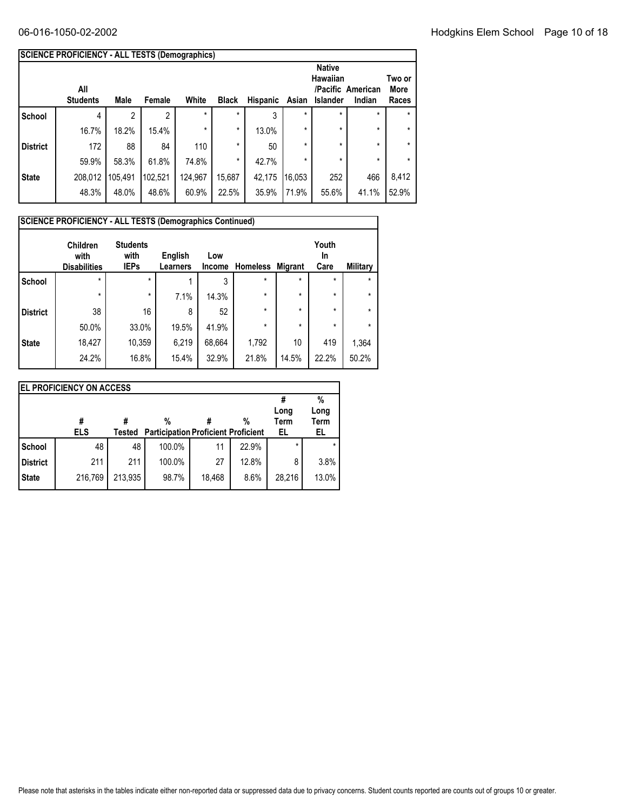|                 | SCIENCE PROFICIENCY - ALL TESTS (Demographics) |         |         |         |              |                 |         |                                                     |                             |                         |
|-----------------|------------------------------------------------|---------|---------|---------|--------------|-----------------|---------|-----------------------------------------------------|-----------------------------|-------------------------|
|                 | All<br><b>Students</b>                         | Male    | Female  | White   | <b>Black</b> | <b>Hispanic</b> | Asian   | <b>Native</b><br><b>Hawaiian</b><br><b>Islander</b> | /Pacific American<br>Indian | Two or<br>More<br>Races |
| School          | 4                                              |         | 2       | $\star$ | $\star$      | 3               | $\star$ | $\star$                                             | $\star$                     | ÷                       |
|                 | 16.7%                                          | 18.2%   | 15.4%   | $\star$ | $\star$      | 13.0%           | *       | $\star$                                             | $\star$                     | $\star$                 |
| <b>District</b> | 172                                            | 88      | 84      | 110     | $\star$      | 50              | *       | $\star$                                             | $\star$                     | $\star$                 |
|                 | 59.9%                                          | 58.3%   | 61.8%   | 74.8%   | $\star$      | 42.7%           | *       | $\star$                                             | $\star$                     | $\star$                 |
| <b>State</b>    | 208,012                                        | 105,491 | 102,521 | 124,967 | 15,687       | 42,175          | 16,053  | 252                                                 | 466                         | 8,412                   |
|                 | 48.3%                                          | 48.0%   | 48.6%   | 60.9%   | 22.5%        | 35.9%           | 71.9%   | 55.6%                                               | 41.1%                       | 52.9%                   |

|                 | <b>SCIENCE PROFICIENCY - ALL TESTS (Demographics Continued)</b><br><b>Children</b><br>with<br><b>Disabilities</b> | <b>Students</b><br>with<br><b>IEPs</b> | English<br>Learners | Low<br><b>Income</b> | <b>Homeless</b> | <b>Migrant</b> | Youth<br><b>In</b><br>Care | <b>Military</b> |
|-----------------|-------------------------------------------------------------------------------------------------------------------|----------------------------------------|---------------------|----------------------|-----------------|----------------|----------------------------|-----------------|
| <b>School</b>   | $\star$                                                                                                           | $\star$                                |                     | 3                    | $\star$         | $\star$        | $\star$                    | $\star$         |
|                 | $\star$                                                                                                           | $\star$                                | 7.1%                | 14.3%                | $\star$         | $\star$        | $\star$                    | $\star$         |
| <b>District</b> | 38                                                                                                                | 16                                     | 8                   | 52                   | $\star$         | $\star$        | $\star$                    | $\star$         |
|                 | 50.0%                                                                                                             | 33.0%                                  | 19.5%               | 41.9%                | $\star$         | $\star$        | $\star$                    | $\star$         |
| <b>State</b>    | 18,427                                                                                                            | 10,359                                 | 6,219               | 68,664               | 1,792           | 10             | 419                        | 1,364           |
|                 | 24.2%                                                                                                             | 16.8%                                  | 15.4%               | 32.9%                | 21.8%           | 14.5%          | 22.2%                      | 50.2%           |

|                 | <b>EL PROFICIENCY ON ACCESS</b> |         |                                            |        |       |             |       |
|-----------------|---------------------------------|---------|--------------------------------------------|--------|-------|-------------|-------|
|                 |                                 |         |                                            |        |       |             | %     |
|                 |                                 |         |                                            |        |       | Long        | Long  |
|                 | #                               | #       | %                                          |        | %     | <b>Term</b> | Term  |
|                 | <b>ELS</b>                      | Tested  | <b>Participation Proficient Proficient</b> |        |       | EL          | EL    |
| School          | 48                              | 48      | 100.0%                                     | 11     | 22.9% | $\star$     |       |
| <b>District</b> | 211                             | 211     | 100.0%                                     | 27     | 12.8% | 8           | 3.8%  |
| <b>State</b>    | 216,769                         | 213,935 | 98.7%                                      | 18,468 | 8.6%  | 28,216      | 13.0% |
|                 |                                 |         |                                            |        |       |             |       |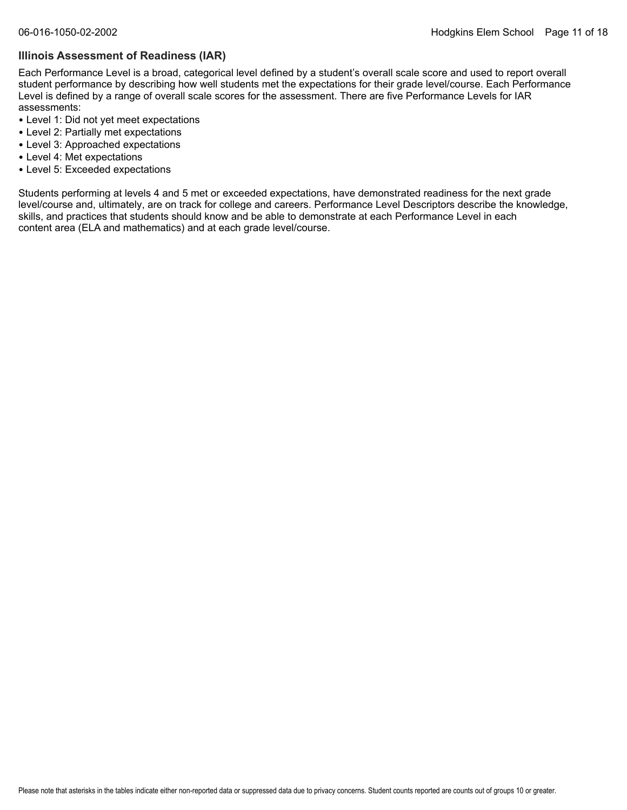#### **Illinois Assessment of Readiness (IAR)**

Each Performance Level is a broad, categorical level defined by a student's overall scale score and used to report overall student performance by describing how well students met the expectations for their grade level/course. Each Performance Level is defined by a range of overall scale scores for the assessment. There are five Performance Levels for IAR assessments:

- Level 1: Did not yet meet expectations
- Level 2: Partially met expectations
- Level 3: Approached expectations
- Level 4: Met expectations
- Level 5: Exceeded expectations

Students performing at levels 4 and 5 met or exceeded expectations, have demonstrated readiness for the next grade level/course and, ultimately, are on track for college and careers. Performance Level Descriptors describe the knowledge, skills, and practices that students should know and be able to demonstrate at each Performance Level in each content area (ELA and mathematics) and at each grade level/course.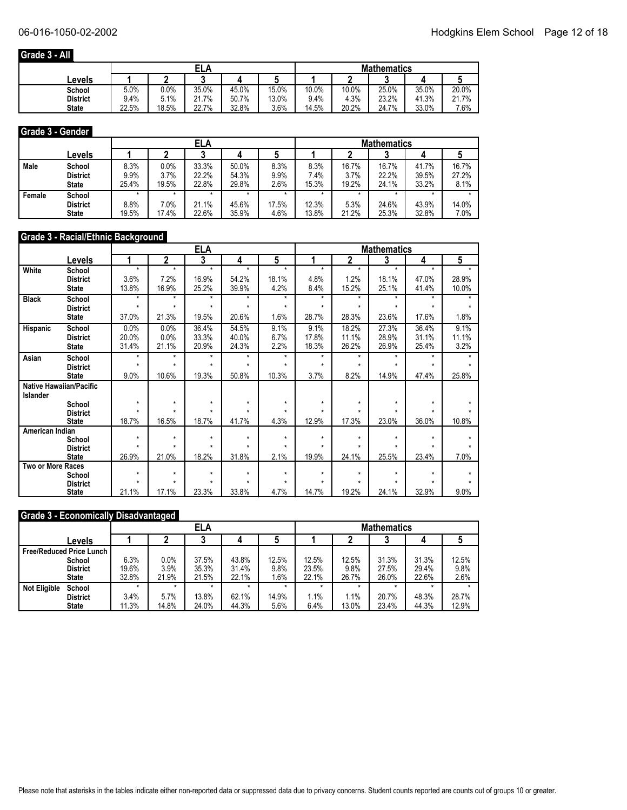### **Grade 3 - All**

|                 |       |         | ELA   |       |       | <b>Mathematics</b> |       |       |       |       |  |
|-----------------|-------|---------|-------|-------|-------|--------------------|-------|-------|-------|-------|--|
| Levels          |       |         |       |       |       |                    |       |       |       |       |  |
| School          | 5.0%  | $0.0\%$ | 35.0% | 45.0% | 15.0% | 10.0%              | 10.0% | 25.0% | 35.0% | 20.0% |  |
| <b>District</b> | 9.4%  | 5.1%    | 21.7% | 50.7% | 13.0% | 9.4%               | 4.3%  | 23.2% | 41.3% | 21.7% |  |
| <b>State</b>    | 22.5% | 18.5%   | 22.7% | 32.8% | 3.6%  | 14.5%              | 20.2% | 24.7% | 33.0% | 7.6%  |  |

#### **Grade 3 - Gender**

|        |                                           |                       |                       | ELA                     |                         |                      | <b>Mathematics</b>    |                        |                         |                         |                        |  |
|--------|-------------------------------------------|-----------------------|-----------------------|-------------------------|-------------------------|----------------------|-----------------------|------------------------|-------------------------|-------------------------|------------------------|--|
|        | Levels                                    |                       |                       |                         |                         |                      |                       |                        |                         |                         |                        |  |
| Male   | School<br><b>District</b><br><b>State</b> | 8.3%<br>9.9%<br>25.4% | 0.0%<br>3.7%<br>19.5% | 33.3%<br>22.2%<br>22.8% | 50.0%<br>54.3%<br>29.8% | 8.3%<br>9.9%<br>2.6% | 8.3%<br>7.4%<br>15.3% | 16.7%<br>3.7%<br>19.2% | 16.7%<br>22.2%<br>24.1% | 41.7%<br>39.5%<br>33.2% | 16.7%<br>27.2%<br>8.1% |  |
| Female | School<br><b>District</b><br><b>State</b> | 8.8%<br>19.5%         | 7.0%<br>17.4%         | 21.1%<br>22.6%          | 45.6%<br>35.9%          | 17.5%<br>4.6%        | 12.3%<br>13.8%        | 5.3%<br>21.2%          | 24.6%<br>25.3%          | 43.9%<br>32.8%          | 14.0%<br>7.0%          |  |

#### **Grade 3 - Racial/Ethnic Background**

|                          |                         |         |             | <b>ELA</b> |         |         |         |         | <b>Mathematics</b> |         |         |
|--------------------------|-------------------------|---------|-------------|------------|---------|---------|---------|---------|--------------------|---------|---------|
|                          | Levels                  | 1       | $\mathbf 2$ | 3          | 4       | 5       |         | 2       | 3                  | 4       | 5       |
| White                    | School                  | $\star$ | $\star$     | $\star$    | $\star$ | $\star$ | $\star$ | $\star$ | $\star$            | $\star$ | $\star$ |
|                          | <b>District</b>         | 3.6%    | 7.2%        | 16.9%      | 54.2%   | 18.1%   | 4.8%    | 1.2%    | 18.1%              | 47.0%   | 28.9%   |
|                          | <b>State</b>            | 13.8%   | 16.9%       | 25.2%      | 39.9%   | 4.2%    | 8.4%    | 15.2%   | 25.1%              | 41.4%   | 10.0%   |
| <b>Black</b>             | School                  | $\star$ | $\star$     | $\star$    | $\star$ | $\star$ | $\star$ | $\star$ | $\star$            | $\star$ | $\star$ |
|                          | <b>District</b>         | $\star$ | $\star$     | $\star$    | $\star$ | $\star$ | $\star$ | $\star$ | $\star$            | $\star$ | $\star$ |
|                          | <b>State</b>            | 37.0%   | 21.3%       | 19.5%      | 20.6%   | 1.6%    | 28.7%   | 28.3%   | 23.6%              | 17.6%   | 1.8%    |
| Hispanic                 | School                  | 0.0%    | 0.0%        | 36.4%      | 54.5%   | 9.1%    | 9.1%    | 18.2%   | 27.3%              | 36.4%   | 9.1%    |
|                          | <b>District</b>         | 20.0%   | 0.0%        | 33.3%      | 40.0%   | 6.7%    | 17.8%   | 11.1%   | 28.9%              | 31.1%   | 11.1%   |
|                          | <b>State</b>            | 31.4%   | 21.1%       | 20.9%      | 24.3%   | 2.2%    | 18.3%   | 26.2%   | 26.9%              | 25.4%   | 3.2%    |
| Asian                    | School                  | $\star$ | $\star$     | $\star$    | $\star$ | $\star$ | $\star$ | $\star$ | $\star$            | $\star$ |         |
|                          | <b>District</b>         | $\star$ | $\star$     | $\star$    | ÷       | $\star$ | $\star$ | $\star$ | $\star$            | $\star$ | $\star$ |
|                          | <b>State</b>            | 9.0%    | 10.6%       | 19.3%      | 50.8%   | 10.3%   | 3.7%    | 8.2%    | 14.9%              | 47.4%   | 25.8%   |
|                          | Native Hawaiian/Pacific |         |             |            |         |         |         |         |                    |         |         |
| Islander                 |                         |         |             |            |         |         |         |         |                    |         |         |
|                          | School                  | $\star$ | $\star$     | $\star$    | *       | $\star$ | $\star$ | $\star$ | $\star$            | $\star$ |         |
|                          | <b>District</b>         |         |             |            |         |         |         |         |                    |         |         |
| American Indian          | <b>State</b>            | 18.7%   | 16.5%       | 18.7%      | 41.7%   | 4.3%    | 12.9%   | 17.3%   | 23.0%              | 36.0%   | 10.8%   |
|                          | School                  | $\star$ | $\star$     | $\star$    | $\star$ | $\star$ | $\star$ | $\star$ | $\star$            | $\star$ |         |
|                          | <b>District</b>         |         |             |            | $\star$ |         |         |         |                    |         |         |
|                          | <b>State</b>            | 26.9%   | 21.0%       | 18.2%      | 31.8%   | 2.1%    | 19.9%   | 24.1%   | 25.5%              | 23.4%   | 7.0%    |
| <b>Two or More Races</b> |                         |         |             |            |         |         |         |         |                    |         |         |
|                          | School                  | $\star$ | $\star$     | $\star$    | $\star$ | $\star$ | $\star$ | $\star$ | $\star$            | $\star$ |         |
|                          | <b>District</b>         | $\star$ | $\star$     | $\star$    | $\star$ | $\star$ | $\star$ | $\star$ | ÷                  |         |         |
|                          | <b>State</b>            | 21.1%   | 17.1%       | 23.3%      | 33.8%   | 4.7%    | 14.7%   | 19.2%   | 24.1%              | 32.9%   | 9.0%    |

#### **Grade 3 - Economically Disadvantaged**

|                     |                                 |       |       | ELA     |         |         | <b>Mathematics</b> |       |       |       |       |  |
|---------------------|---------------------------------|-------|-------|---------|---------|---------|--------------------|-------|-------|-------|-------|--|
|                     | Levels                          |       |       |         |         | w       |                    |       |       |       | C     |  |
|                     | <b>Free/Reduced Price Lunch</b> |       |       |         |         |         |                    |       |       |       |       |  |
|                     | School                          | 6.3%  | 0.0%  | 37.5%   | 43.8%   | 12.5%   | 12.5%              | 12.5% | 31.3% | 31.3% | 12.5% |  |
|                     | <b>District</b>                 | 19.6% | 3.9%  | 35.3%   | 31.4%   | 9.8%    | 23.5%              | 9.8%  | 27.5% | 29.4% | 9.8%  |  |
|                     | <b>State</b>                    | 32.8% | 21.9% | 21.5%   | 22.1%   | 1.6%    | 22.1%              | 26.7% | 26.0% | 22.6% | 2.6%  |  |
| <b>Not Eligible</b> | School                          |       |       | $\star$ | $\star$ | $\star$ |                    |       |       |       |       |  |
|                     | <b>District</b>                 | 3.4%  | 5.7%  | 13.8%   | 62.1%   | 14.9%   | 1.1%               | 1.1%  | 20.7% | 48.3% | 28.7% |  |
|                     | <b>State</b>                    | 11.3% | 14.8% | 24.0%   | 44.3%   | 5.6%    | 6.4%               | 13.0% | 23.4% | 44.3% | 12.9% |  |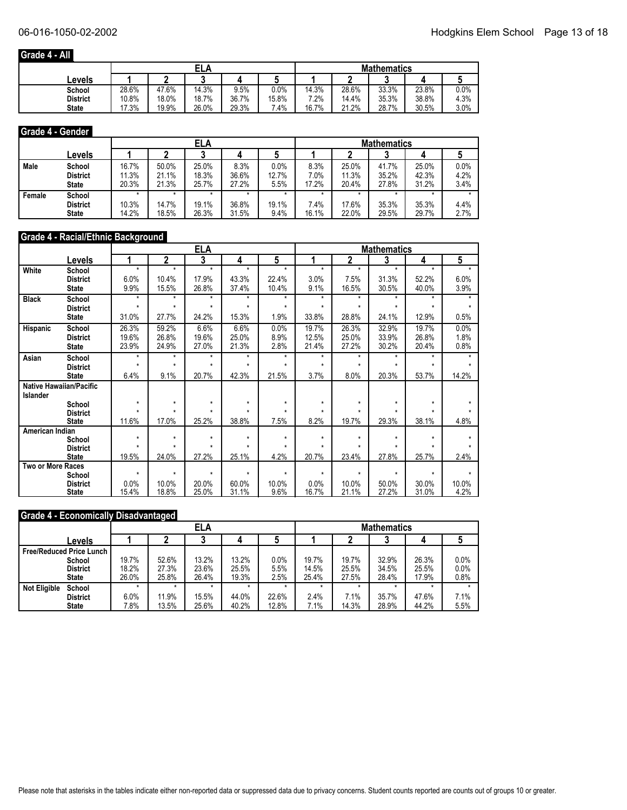### **Grade 4 - All**

|                 |       |       | ELA<br>А |       |       | <b>Mathematics</b> |       |       |       |      |  |
|-----------------|-------|-------|----------|-------|-------|--------------------|-------|-------|-------|------|--|
| ∟evels          |       |       |          |       |       |                    |       | ◠     |       |      |  |
| School          | 28.6% | 47.6% | 14.3%    | 9.5%  | 0.0%  | 14.3%              | 28.6% | 33.3% | 23.8% | 0.0% |  |
| <b>District</b> | 10.8% | 18.0% | 18.7%    | 36.7% | 15.8% | 7.2%               | 14.4% | 35.3% | 38.8% | 4.3% |  |
| <b>State</b>    | 17.3% | 19.9% | 26.0%    | 29.3% | 7.4%  | 16.7%              | 21.2% | 28.7% | 30.5% | 3.0% |  |

#### **Grade 4 - Gender**

|        |                                           |                         |                         | ELA                     |                        |                       | <b>Mathematics</b>    |                         |                         |                         |                         |  |
|--------|-------------------------------------------|-------------------------|-------------------------|-------------------------|------------------------|-----------------------|-----------------------|-------------------------|-------------------------|-------------------------|-------------------------|--|
|        | Levels                                    |                         |                         |                         |                        |                       |                       |                         |                         |                         |                         |  |
| Male   | School<br><b>District</b><br><b>State</b> | 16.7%<br>11.3%<br>20.3% | 50.0%<br>21.1%<br>21.3% | 25.0%<br>18.3%<br>25.7% | 8.3%<br>36.6%<br>27.2% | 0.0%<br>12.7%<br>5.5% | 8.3%<br>7.0%<br>17.2% | 25.0%<br>11.3%<br>20.4% | 41.7%<br>35.2%<br>27.8% | 25.0%<br>42.3%<br>31.2% | $0.0\%$<br>4.2%<br>3.4% |  |
| Female | School<br><b>District</b><br><b>State</b> | 10.3%<br>14.2%          | 14.7%<br>18.5%          | 19.1%<br>26.3%          | 36.8%<br>31.5%         | 19.1%<br>9.4%         | 7.4%<br>16.1%         | 17.6%<br>22.0%          | 35.3%<br>29.5%          | 35.3%<br>29.7%          | 4.4%<br>2.7%            |  |

#### **Grade 4 - Racial/Ethnic Background**

|                          |                         | <b>ELA</b><br><b>Mathematics</b> |             |         |         |         |         |         |         |         |         |
|--------------------------|-------------------------|----------------------------------|-------------|---------|---------|---------|---------|---------|---------|---------|---------|
|                          | Levels                  | 1                                | $\mathbf 2$ | 3       | 4       | 5       |         | 2       | 3       | 4       | 5       |
| White                    | School                  | $\star$                          | $\star$     | $\star$ | $\star$ | $\star$ | $\star$ | $\star$ | $\star$ | $\star$ | $\star$ |
|                          | <b>District</b>         | 6.0%                             | 10.4%       | 17.9%   | 43.3%   | 22.4%   | 3.0%    | 7.5%    | 31.3%   | 52.2%   | 6.0%    |
|                          | <b>State</b>            | 9.9%                             | 15.5%       | 26.8%   | 37.4%   | 10.4%   | 9.1%    | 16.5%   | 30.5%   | 40.0%   | 3.9%    |
| <b>Black</b>             | School                  | $\star$                          | $\star$     | $\star$ | $\star$ | $\star$ | $\star$ | $\star$ | $\star$ | $\star$ | $\star$ |
|                          | <b>District</b>         | $\star$                          | $\star$     | $\star$ | $\star$ | $\star$ | $\star$ | $\star$ | $\star$ | $\star$ | $\star$ |
|                          | <b>State</b>            | 31.0%                            | 27.7%       | 24.2%   | 15.3%   | 1.9%    | 33.8%   | 28.8%   | 24.1%   | 12.9%   | 0.5%    |
| Hispanic                 | School                  | 26.3%                            | 59.2%       | 6.6%    | 6.6%    | 0.0%    | 19.7%   | 26.3%   | 32.9%   | 19.7%   | 0.0%    |
|                          | <b>District</b>         | 19.6%                            | 26.8%       | 19.6%   | 25.0%   | 8.9%    | 12.5%   | 25.0%   | 33.9%   | 26.8%   | 1.8%    |
|                          | <b>State</b>            | 23.9%                            | 24.9%       | 27.0%   | 21.3%   | 2.8%    | 21.4%   | 27.2%   | 30.2%   | 20.4%   | 0.8%    |
| <b>Asian</b>             | School                  | $\star$                          | $\star$     | $\star$ | $\star$ | $\star$ | $\star$ | $\star$ | $\star$ | $\star$ |         |
|                          | <b>District</b>         | $\star$                          | $\star$     | $\star$ | ÷       | $\star$ | $\star$ | ÷       | $\star$ | $\star$ | $\star$ |
|                          | <b>State</b>            | 6.4%                             | 9.1%        | 20.7%   | 42.3%   | 21.5%   | 3.7%    | 8.0%    | 20.3%   | 53.7%   | 14.2%   |
|                          | Native Hawaiian/Pacific |                                  |             |         |         |         |         |         |         |         |         |
| Islander                 |                         |                                  |             |         |         |         |         |         |         |         |         |
|                          | School                  | $\star$                          | $\star$     | $\star$ | $\star$ | $\star$ | $\star$ | $\star$ | $\star$ | $\star$ |         |
|                          | <b>District</b>         |                                  |             |         |         |         |         |         |         |         |         |
|                          | <b>State</b>            | 11.6%                            | 17.0%       | 25.2%   | 38.8%   | 7.5%    | 8.2%    | 19.7%   | 29.3%   | 38.1%   | 4.8%    |
| American Indian          |                         | $\star$                          | $\star$     | $\star$ | $\star$ | $\star$ | $\star$ | $\star$ | $\star$ | $\star$ |         |
|                          | School                  |                                  |             |         | ÷       |         |         |         |         |         |         |
|                          | <b>District</b>         | 19.5%                            | 24.0%       | 27.2%   | 25.1%   | 4.2%    | 20.7%   | 23.4%   | 27.8%   | 25.7%   | 2.4%    |
| <b>Two or More Races</b> | <b>State</b>            |                                  |             |         |         |         |         |         |         |         |         |
|                          | School                  | $\star$                          | $\star$     | $\star$ | $\star$ | $\star$ | $\star$ | $\star$ | $\star$ | $\star$ |         |
|                          | <b>District</b>         | 0.0%                             | 10.0%       | 20.0%   | 60.0%   | 10.0%   | 0.0%    | 10.0%   | 50.0%   | 30.0%   | 10.0%   |
|                          | <b>State</b>            | 15.4%                            | 18.8%       | 25.0%   | 31.1%   | 9.6%    | 16.7%   | 21.1%   | 27.2%   | 31.0%   | 4.2%    |

#### **Grade 4 - Economically Disadvantaged**

|                     |                                 |       |       | ELA     |         |         | <b>Mathematics</b> |       |       |       |      |  |
|---------------------|---------------------------------|-------|-------|---------|---------|---------|--------------------|-------|-------|-------|------|--|
|                     | Levels                          |       |       |         |         | w       |                    |       |       |       |      |  |
|                     | <b>Free/Reduced Price Lunch</b> |       |       |         |         |         |                    |       |       |       |      |  |
|                     | School                          | 19.7% | 52.6% | 13.2%   | 13.2%   | 0.0%    | 19.7%              | 19.7% | 32.9% | 26.3% | 0.0% |  |
|                     | <b>District</b>                 | 18.2% | 27.3% | 23.6%   | 25.5%   | 5.5%    | 14.5%              | 25.5% | 34.5% | 25.5% | 0.0% |  |
|                     | <b>State</b>                    | 26.0% | 25.8% | 26.4%   | 19.3%   | 2.5%    | 25.4%              | 27.5% | 28.4% | 17.9% | 0.8% |  |
| <b>Not Eligible</b> | School                          |       |       | $\star$ | $\star$ | $\star$ |                    |       |       |       |      |  |
|                     | <b>District</b>                 | 6.0%  | 11.9% | 15.5%   | 44.0%   | 22.6%   | 2.4%               | 7.1%  | 35.7% | 47.6% | 7.1% |  |
|                     | <b>State</b>                    | 7.8%  | 13.5% | 25.6%   | 40.2%   | 12.8%   | 7.1%               | 14.3% | 28.9% | 44.2% | 5.5% |  |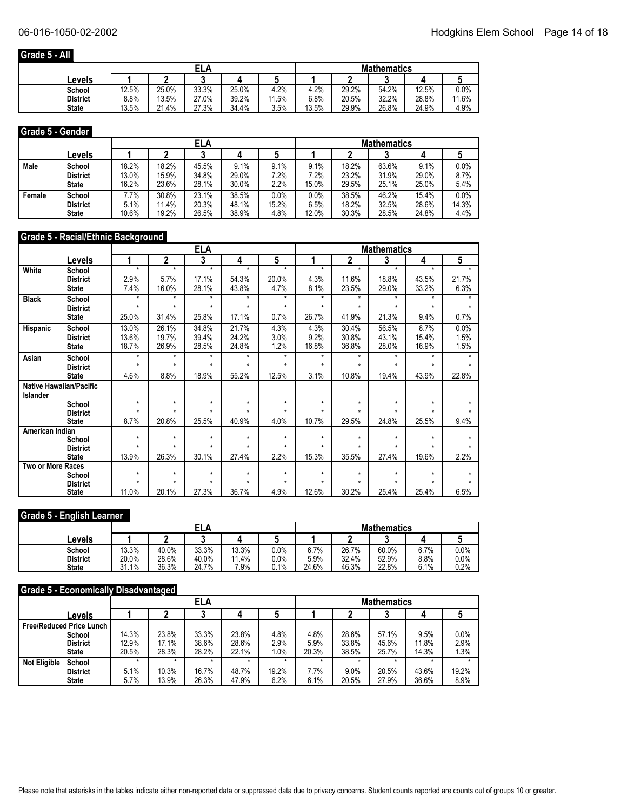### **Grade 5 - All**

|                 |       |       | ELA   |       |           | <b>Mathematics</b> |       |       |       |       |  |
|-----------------|-------|-------|-------|-------|-----------|--------------------|-------|-------|-------|-------|--|
| Levels          |       |       |       |       |           |                    |       |       |       |       |  |
| School          | 12.5% | 25.0% | 33.3% | 25.0% | 4.2%      | 4.2%               | 29.2% | 54.2% | 12.5% | 0.0%  |  |
| <b>District</b> | 8.8%  | 13.5% | 27.0% | 39.2% | .5%<br>44 | 6.8%               | 20.5% | 32.2% | 28.8% | 11.6% |  |
| <b>State</b>    | 13.5% | 21.4% | 27.3% | 34.4% | 3.5%      | 13.5%              | 29.9% | 26.8% | 24.9% | 4.9%  |  |

#### **Grade 5 - Gender**

|        |                 |       | ELA   |       |       |       |       | <b>Mathematics</b> |       |       |       |  |  |
|--------|-----------------|-------|-------|-------|-------|-------|-------|--------------------|-------|-------|-------|--|--|
|        | ∟evels          |       |       |       |       |       |       |                    |       |       |       |  |  |
| Male   | School          | 18.2% | 18.2% | 45.5% | 9.1%  | 9.1%  | 9.1%  | 18.2%              | 63.6% | 9.1%  | 0.0%  |  |  |
|        | <b>District</b> | 13.0% | 15.9% | 34.8% | 29.0% | 7.2%  | 7.2%  | 23.2%              | 31.9% | 29.0% | 8.7%  |  |  |
|        | <b>State</b>    | 16.2% | 23.6% | 28.1% | 30.0% | 2.2%  | 15.0% | 29.5%              | 25.1% | 25.0% | 5.4%  |  |  |
| Female | School          | 7.7%  | 30.8% | 23.1% | 38.5% | 0.0%  | 0.0%  | 38.5%              | 46.2% | 15.4% | 0.0%  |  |  |
|        | <b>District</b> | 5.1%  | 11.4% | 20.3% | 48.1% | 15.2% | 6.5%  | 18.2%              | 32.5% | 28.6% | 14.3% |  |  |
|        | <b>State</b>    | 10.6% | 19.2% | 26.5% | 38.9% | 4.8%  | 12.0% | 30.3%              | 28.5% | 24.8% | 4.4%  |  |  |

### **Grade 5 - Racial/Ethnic Background**

|                   |                                |              | <b>ELA</b><br><b>Mathematics</b> |                    |         |              |              |              |              |         |         |
|-------------------|--------------------------------|--------------|----------------------------------|--------------------|---------|--------------|--------------|--------------|--------------|---------|---------|
|                   | Levels                         | 1            | $\mathbf 2$                      | 3                  | 4       | 5            |              | 2            | 3            | 4       | 5       |
| White             | School                         | $\star$      | $\star$                          | $\star$            | $\star$ | $\star$      | $\star$      | $\star$      | $\star$      | $\star$ | $\star$ |
|                   | <b>District</b>                | 2.9%         | 5.7%                             | 17.1%              | 54.3%   | 20.0%        | 4.3%         | 11.6%        | 18.8%        | 43.5%   | 21.7%   |
|                   | <b>State</b>                   | 7.4%         | 16.0%                            | 28.1%              | 43.8%   | 4.7%         | 8.1%         | 23.5%        | 29.0%        | 33.2%   | 6.3%    |
| <b>Black</b>      | School                         | $\star$      | $\star$                          | $\star$            | $\star$ | $\star$      | $\star$      | $\star$      | $\star$      | $\star$ |         |
|                   | <b>District</b>                | $\star$      | $\star$                          | $\star$            | $\star$ | $\star$      | $\star$      | ÷            | $\star$      | ÷       |         |
|                   | <b>State</b>                   | 25.0%        | 31.4%                            | 25.8%              | 17.1%   | 0.7%         | 26.7%        | 41.9%        | 21.3%        | 9.4%    | 0.7%    |
| Hispanic          | School                         | 13.0%        | 26.1%                            | 34.8%              | 21.7%   | 4.3%         | 4.3%         | 30.4%        | 56.5%        | 8.7%    | 0.0%    |
|                   | <b>District</b>                | 13.6%        | 19.7%                            | 39.4%              | 24.2%   | 3.0%         | 9.2%         | 30.8%        | 43.1%        | 15.4%   | 1.5%    |
|                   | <b>State</b>                   | 18.7%        | 26.9%                            | 28.5%              | 24.8%   | 1.2%         | 16.8%        | 36.8%        | 28.0%        | 16.9%   | 1.5%    |
| Asian             | School                         | $\star$      | $\star$                          | $\star$            | $\star$ | $\star$      | $\star$      | $\star$      | $\star$      | $\star$ |         |
|                   | <b>District</b>                | $\star$      | $\star$                          | $\star$            | ÷       | ÷            | $\star$      | ÷            | $\star$      | ÷       |         |
|                   | <b>State</b>                   | 4.6%         | 8.8%                             | 18.9%              | 55.2%   | 12.5%        | 3.1%         | 10.8%        | 19.4%        | 43.9%   | 22.8%   |
|                   | <b>Native Hawaiian/Pacific</b> |              |                                  |                    |         |              |              |              |              |         |         |
| Islander          |                                |              |                                  |                    |         |              |              |              |              |         |         |
|                   | School                         | $\star$<br>٠ | $\star$<br>٠                     | $\star$<br>$\star$ | $\star$ | $\star$<br>÷ | $\star$<br>٠ | $\star$<br>٠ | $\star$<br>÷ | $\star$ |         |
|                   | <b>District</b>                |              |                                  |                    |         |              |              |              |              |         |         |
|                   | <b>State</b>                   | 8.7%         | 20.8%                            | 25.5%              | 40.9%   | 4.0%         | 10.7%        | 29.5%        | 24.8%        | 25.5%   | 9.4%    |
| American Indian   |                                | $\star$      | $\star$                          | $\star$            | $\star$ | $\star$      | $\star$      | $\star$      | $\star$      | ÷       |         |
|                   | School<br><b>District</b>      | $\star$      | $\star$                          | ٠                  | ÷       | $\star$      |              | ÷            | $\star$      |         |         |
|                   | <b>State</b>                   | 13.9%        | 26.3%                            | 30.1%              | 27.4%   | 2.2%         | 15.3%        | 35.5%        | 27.4%        | 19.6%   | 2.2%    |
| Two or More Races |                                |              |                                  |                    |         |              |              |              |              |         |         |
|                   | School                         | $\star$      | $\star$                          | $\star$            | $\star$ | $\star$      | $\star$      | $\star$      | $\star$      | $\star$ |         |
|                   | <b>District</b>                | $\star$      | $\star$                          | $\star$            | $\star$ | $\star$      | ÷            | $\star$      | $\star$      |         |         |
|                   | <b>State</b>                   | 11.0%        | 20.1%                            | 27.3%              | 36.7%   | 4.9%         | 12.6%        | 30.2%        | 25.4%        | 25.4%   | 6.5%    |

#### **Grade 5 - English Learner**

|                 |       | <b>ELA</b> |       |       |      |       | <b>Mathematics</b> |       |      |      |  |  |
|-----------------|-------|------------|-------|-------|------|-------|--------------------|-------|------|------|--|--|
| Levels          |       |            |       |       |      |       |                    | w     |      |      |  |  |
| School          | 13.3% | 40.0%      | 33.3% | 13.3% | 0.0% | 6.7%  | 26.7%              | 60.0% | 6.7% | 0.0% |  |  |
| <b>District</b> | 20.0% | 28.6%      | 40.0% | 11.4% | 0.0% | 5.9%  | 32.4%              | 52.9% | 8.8% | 0.0% |  |  |
| <b>State</b>    | 31.1% | 36.3%      | 24.7% | 7.9%  | 0.1% | 24.6% | 46.3%              | 22.8% | 6.1% | 0.2% |  |  |

#### **Grade 5 - Economically Disadvantaged**

|                     |                                 |       |       | <b>ELA</b> |       |         | <b>Mathematics</b> |       |       |       |       |  |
|---------------------|---------------------------------|-------|-------|------------|-------|---------|--------------------|-------|-------|-------|-------|--|
|                     | ∟evels                          |       |       |            |       |         |                    |       |       |       |       |  |
|                     | <b>Free/Reduced Price Lunch</b> |       |       |            |       |         |                    |       |       |       |       |  |
|                     | School                          | 14.3% | 23.8% | 33.3%      | 23.8% | 4.8%    | 4.8%               | 28.6% | 57.1% | 9.5%  | 0.0%  |  |
|                     | <b>District</b>                 | 12.9% | 17.1% | 38.6%      | 28.6% | 2.9%    | 5.9%               | 33.8% | 45.6% | 11.8% | 2.9%  |  |
|                     | <b>State</b>                    | 20.5% | 28.3% | 28.2%      | 22.1% | $1.0\%$ | 20.3%              | 38.5% | 25.7% | 14.3% | 1.3%  |  |
| <b>Not Eligible</b> | School                          |       |       |            |       |         |                    |       |       |       |       |  |
|                     | <b>District</b>                 | 5.1%  | 10.3% | 16.7%      | 48.7% | 19.2%   | 7.7%               | 9.0%  | 20.5% | 43.6% | 19.2% |  |
|                     | <b>State</b>                    | 5.7%  | 13.9% | 26.3%      | 47.9% | 6.2%    | 6.1%               | 20.5% | 27.9% | 36.6% | 8.9%  |  |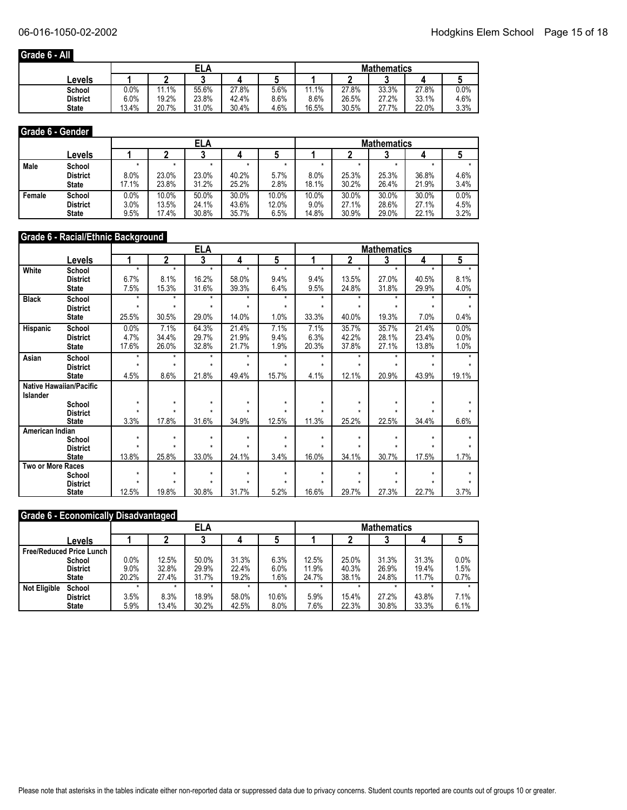### **Grade 6 - All**

|              |         |       | ELA   |       |         | <b>Mathematics</b> |       |       |       |      |  |
|--------------|---------|-------|-------|-------|---------|--------------------|-------|-------|-------|------|--|
| Levels       |         |       | ◠     |       |         |                    |       |       |       |      |  |
| School       | $0.0\%$ | 11.1% | 55.6% | 27.8% | $5.6\%$ | 1.1%<br>44         | 27.8% | 33.3% | 27.8% | 0.0% |  |
| District     | 6.0%    | 19.2% | 23.8% | 42.4% | 8.6%    | 8.6%               | 26.5% | 27.2% | 33.1% | 4.6% |  |
| <b>State</b> | 13.4%   | 20.7% | 31.0% | 30.4% | 4.6%    | 16.5%              | 30.5% | 27.7% | 22.0% | 3.3% |  |

#### **Grade 6 - Gender**

| .      | .                                         |                         |                         |                         |                         |                        |                           |                         |                         |                         |                      |  |
|--------|-------------------------------------------|-------------------------|-------------------------|-------------------------|-------------------------|------------------------|---------------------------|-------------------------|-------------------------|-------------------------|----------------------|--|
|        |                                           |                         | ELA                     |                         |                         |                        | <b>Mathematics</b>        |                         |                         |                         |                      |  |
|        | Levels                                    |                         |                         |                         |                         |                        |                           |                         |                         |                         |                      |  |
| Male   | School<br><b>District</b><br><b>State</b> | 8.0%<br>17.1%           | 23.0%<br>23.8%          | 23.0%<br>31.2%          | 40.2%<br>25.2%          | $5.7\%$<br>2.8%        | 8.0%<br>18.1%             | 25.3%<br>30.2%          | 25.3%<br>26.4%          | 36.8%<br>21.9%          | 4.6%<br>3.4%         |  |
| Female | School<br><b>District</b><br><b>State</b> | 0.0%<br>$3.0\%$<br>9.5% | 10.0%<br>13.5%<br>17.4% | 50.0%<br>24.1%<br>30.8% | 30.0%<br>43.6%<br>35.7% | 10.0%<br>12.0%<br>6.5% | 10.0%<br>$9.0\%$<br>14.8% | 30.0%<br>27.1%<br>30.9% | 30.0%<br>28.6%<br>29.0% | 30.0%<br>27.1%<br>22.1% | 0.0%<br>4.5%<br>3.2% |  |

#### **Grade 6 - Racial/Ethnic Background**

|                   |                                |         | <b>ELA</b><br><b>Mathematics</b><br>3<br>5<br>$\overline{\mathbf{2}}$<br>3<br>2<br>4<br>4 |         |         |         |         |         |         |         |         |
|-------------------|--------------------------------|---------|-------------------------------------------------------------------------------------------|---------|---------|---------|---------|---------|---------|---------|---------|
|                   | Levels                         |         |                                                                                           |         |         |         |         |         |         |         | 5       |
| White             | School                         | $\star$ | $\star$                                                                                   | $\star$ | $\star$ | $\star$ | $\star$ | $\star$ | $\star$ | $\star$ | $\star$ |
|                   | <b>District</b>                | 6.7%    | 8.1%                                                                                      | 16.2%   | 58.0%   | 9.4%    | 9.4%    | 13.5%   | 27.0%   | 40.5%   | 8.1%    |
|                   | <b>State</b>                   | 7.5%    | 15.3%                                                                                     | 31.6%   | 39.3%   | 6.4%    | 9.5%    | 24.8%   | 31.8%   | 29.9%   | 4.0%    |
| <b>Black</b>      | School                         | $\star$ | $\star$                                                                                   | $\star$ | $\star$ | $\star$ | $\star$ | $\star$ | $\star$ | $\star$ |         |
|                   | <b>District</b>                | $\star$ | $\star$                                                                                   | $\star$ | $\star$ | $\star$ | $\star$ | $\star$ | $\star$ | $\star$ |         |
|                   | <b>State</b>                   | 25.5%   | 30.5%                                                                                     | 29.0%   | 14.0%   | 1.0%    | 33.3%   | 40.0%   | 19.3%   | 7.0%    | 0.4%    |
| Hispanic          | School                         | 0.0%    | 7.1%                                                                                      | 64.3%   | 21.4%   | 7.1%    | 7.1%    | 35.7%   | 35.7%   | 21.4%   | 0.0%    |
|                   | <b>District</b>                | 4.7%    | 34.4%                                                                                     | 29.7%   | 21.9%   | 9.4%    | 6.3%    | 42.2%   | 28.1%   | 23.4%   | 0.0%    |
|                   | <b>State</b>                   | 17.6%   | 26.0%                                                                                     | 32.8%   | 21.7%   | 1.9%    | 20.3%   | 37.8%   | 27.1%   | 13.8%   | 1.0%    |
| Asian             | School                         | $\star$ | $\star$                                                                                   | $\star$ | $\star$ | $\star$ | $\star$ | $\star$ | $\star$ | $\star$ |         |
|                   | <b>District</b>                | $\star$ | $\star$                                                                                   | $\star$ | $\star$ | $\star$ | $\star$ | $\star$ | $\star$ | $\star$ | $\star$ |
|                   | <b>State</b>                   | 4.5%    | 8.6%                                                                                      | 21.8%   | 49.4%   | 15.7%   | 4.1%    | 12.1%   | 20.9%   | 43.9%   | 19.1%   |
|                   | <b>Native Hawaiian/Pacific</b> |         |                                                                                           |         |         |         |         |         |         |         |         |
| Islander          |                                |         |                                                                                           |         |         |         |         |         |         |         |         |
|                   | School                         | $\star$ | $\star$                                                                                   | $\star$ | $\star$ | $\star$ | $\star$ | $\star$ | $\star$ | $\star$ |         |
|                   | <b>District</b>                |         |                                                                                           |         |         |         |         |         |         |         |         |
|                   | <b>State</b>                   | 3.3%    | 17.8%                                                                                     | 31.6%   | 34.9%   | 12.5%   | 11.3%   | 25.2%   | 22.5%   | 34.4%   | 6.6%    |
| American Indian   |                                | $\star$ | $\star$                                                                                   | $\star$ | $\star$ | $\star$ | $\star$ | $\star$ | $\star$ | $\star$ |         |
|                   | School<br><b>District</b>      | ٠       | $\star$                                                                                   | ٠       | ÷       | ÷       |         |         | ÷       |         |         |
|                   | <b>State</b>                   | 13.8%   | 25.8%                                                                                     | 33.0%   | 24.1%   | 3.4%    | 16.0%   | 34.1%   | 30.7%   | 17.5%   | 1.7%    |
| Two or More Races |                                |         |                                                                                           |         |         |         |         |         |         |         |         |
|                   | School                         | $\star$ | $\star$                                                                                   | $\star$ | $\star$ | $\star$ | $\star$ | $\star$ | $\star$ | $\star$ |         |
|                   | <b>District</b>                | $\star$ | $\star$                                                                                   | $\star$ | $\star$ | $\star$ | $\star$ | $\star$ | $\star$ | ÷       |         |
|                   | <b>State</b>                   | 12.5%   | 19.8%                                                                                     | 30.8%   | 31.7%   | 5.2%    | 16.6%   | 29.7%   | 27.3%   | 22.7%   | 3.7%    |

#### **Grade 6 - Economically Disadvantaged**

|                     |                                 |       | ELA   |         |         |         | <b>Mathematics</b> |       |       |       |      |
|---------------------|---------------------------------|-------|-------|---------|---------|---------|--------------------|-------|-------|-------|------|
|                     | Levels                          |       |       |         |         | w       |                    |       |       |       |      |
|                     | <b>Free/Reduced Price Lunch</b> |       |       |         |         |         |                    |       |       |       |      |
|                     | School                          | 0.0%  | 12.5% | 50.0%   | 31.3%   | 6.3%    | 12.5%              | 25.0% | 31.3% | 31.3% | 0.0% |
|                     | <b>District</b>                 | 9.0%  | 32.8% | 29.9%   | 22.4%   | 6.0%    | 11.9%              | 40.3% | 26.9% | 19.4% | 1.5% |
|                     | <b>State</b>                    | 20.2% | 27.4% | 31.7%   | 19.2%   | 1.6%    | 24.7%              | 38.1% | 24.8% | 11.7% | 0.7% |
| <b>Not Eligible</b> | School                          |       |       | $\star$ | $\star$ | $\star$ |                    |       |       |       |      |
|                     | <b>District</b>                 | 3.5%  | 8.3%  | 18.9%   | 58.0%   | 10.6%   | 5.9%               | 15.4% | 27.2% | 43.8% | 7.1% |
|                     | <b>State</b>                    | 5.9%  | 13.4% | 30.2%   | 42.5%   | 8.0%    | 7.6%               | 22.3% | 30.8% | 33.3% | 6.1% |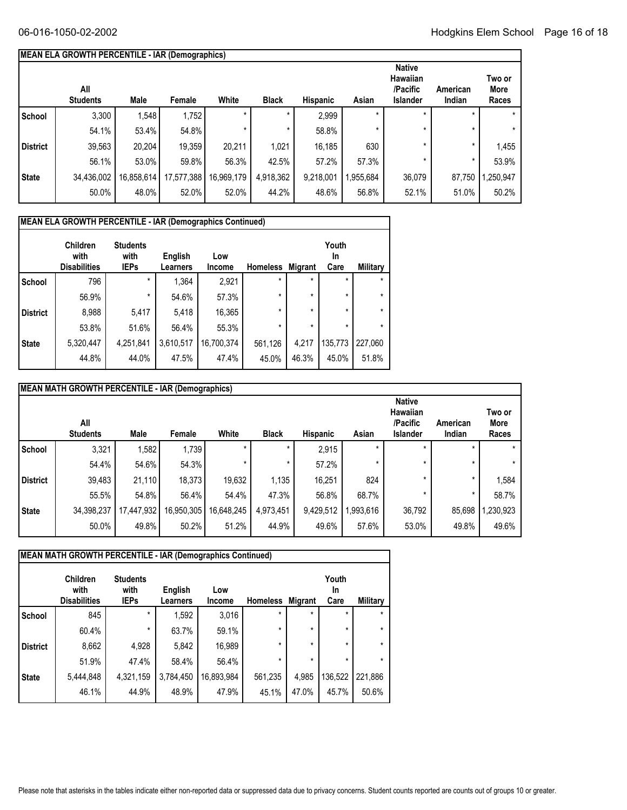## **MEAN ELA GROWTH PERCENTILE - IAR (Demographics)**

|                 | All<br><b>Students</b> | Male       | Female     | White      | <b>Black</b> | <b>Hispanic</b> | Asian     | <b>Native</b><br><b>Hawaiian</b><br>/Pacific<br><b>Islander</b> | American<br>Indian | Two or<br>More<br>Races |
|-----------------|------------------------|------------|------------|------------|--------------|-----------------|-----------|-----------------------------------------------------------------|--------------------|-------------------------|
| <b>School</b>   | 3,300                  | 1,548      | 1,752      |            | $\star$      | 2,999           | $\star$   | $\star$                                                         |                    | $\star$                 |
|                 | 54.1%                  | 53.4%      | 54.8%      |            | $^\star$     | 58.8%           | $\star$   | $\star$                                                         |                    | $\star$                 |
| <b>District</b> | 39,563                 | 20,204     | 19,359     | 20.211     | 1,021        | 16,185          | 630       | $\star$                                                         | *                  | 1,455                   |
|                 | 56.1%                  | 53.0%      | 59.8%      | 56.3%      | 42.5%        | 57.2%           | 57.3%     | $\star$                                                         |                    | 53.9%                   |
| <b>State</b>    | 34,436,002             | 16,858,614 | 17,577,388 | 16,969,179 | 4,918,362    | 9,218,001       | 1,955,684 | 36,079                                                          | 87,750             | ,250,947                |
|                 | 50.0%                  | 48.0%      | 52.0%      | 52.0%      | 44.2%        | 48.6%           | 56.8%     | 52.1%                                                           | 51.0%              | 50.2%                   |
|                 |                        |            |            |            |              |                 |           |                                                                 |                    |                         |

|                 | <b>MEAN ELA GROWTH PERCENTILE - IAR (Demographics Continued)</b> |                                        |                     |               |                 |         |                     |          |
|-----------------|------------------------------------------------------------------|----------------------------------------|---------------------|---------------|-----------------|---------|---------------------|----------|
|                 | Children<br>with<br><b>Disabilities</b>                          | <b>Students</b><br>with<br><b>IEPs</b> | English<br>Learners | Low<br>Income | <b>Homeless</b> | Migrant | Youth<br>In<br>Care | Military |
| <b>School</b>   | 796                                                              | $\star$                                | 1,364               | 2,921         | $\star$         | $\star$ | $\star$             | $\star$  |
|                 | 56.9%                                                            | $\star$                                | 54.6%               | 57.3%         | $\star$         | $\star$ | $\star$             | $\star$  |
| <b>District</b> | 8,988                                                            | 5,417                                  | 5,418               | 16,365        | $\star$         | $\star$ | $\star$             | $\star$  |
|                 | 53.8%                                                            | 51.6%                                  | 56.4%               | 55.3%         | $\star$         | $\star$ | $\star$             | $\star$  |
| <b>State</b>    | 5,320,447                                                        | 4,251,841                              | 3,610,517           | 16,700,374    | 561,126         | 4.217   | 135,773             | 227,060  |
|                 | 44.8%                                                            | 44.0%                                  | 47.5%               | 47.4%         | 45.0%           | 46.3%   | 45.0%               | 51.8%    |

|                 | MEAN MATH GROWTH PERCENTILE - IAR (Demographics) |            |            |            |              |                 |           |                                                          |                    |                         |
|-----------------|--------------------------------------------------|------------|------------|------------|--------------|-----------------|-----------|----------------------------------------------------------|--------------------|-------------------------|
|                 | All<br><b>Students</b>                           | Male       | Female     | White      | <b>Black</b> | <b>Hispanic</b> | Asian     | <b>Native</b><br><b>Hawaiian</b><br>/Pacific<br>Islander | American<br>Indian | Two or<br>More<br>Races |
| School          | 3,321                                            | 1,582      | 1,739      |            |              | 2,915           | ×         |                                                          |                    | $\star$                 |
|                 | 54.4%                                            | 54.6%      | 54.3%      |            | $\star$      | 57.2%           |           |                                                          |                    | $\star$                 |
| <b>District</b> | 39,483                                           | 21,110     | 18.373     | 19,632     | 1,135        | 16,251          | 824       |                                                          | $\star$            | 1,584                   |
|                 | 55.5%                                            | 54.8%      | 56.4%      | 54.4%      | 47.3%        | 56.8%           | 68.7%     |                                                          |                    | 58.7%                   |
| <b>State</b>    | 34,398,237                                       | 17,447,932 | 16,950,305 | 16,648,245 | 4,973,451    | 9,429,512       | 1,993,616 | 36,792                                                   | 85,698             | ,230,923                |
|                 | 50.0%                                            | 49.8%      | 50.2%      | 51.2%      | 44.9%        | 49.6%           | 57.6%     | 53.0%                                                    | 49.8%              | 49.6%                   |

|                 | MEAN MATH GROWTH PERCENTILE - IAR (Demographics Continued) |                                        |                            |               |                 |                |                     |          |
|-----------------|------------------------------------------------------------|----------------------------------------|----------------------------|---------------|-----------------|----------------|---------------------|----------|
|                 | <b>Children</b><br>with<br><b>Disabilities</b>             | <b>Students</b><br>with<br><b>IEPs</b> | English<br><b>Learners</b> | Low<br>Income | <b>Homeless</b> | <b>Migrant</b> | Youth<br>In<br>Care | Military |
| <b>School</b>   | 845                                                        | $\star$                                | 1,592                      | 3,016         | $\star$         | $\star$        | $\star$             | $\star$  |
|                 | 60.4%                                                      | $\star$                                | 63.7%                      | 59.1%         | $\star$         | $\star$        | $\star$             | $\star$  |
| <b>District</b> | 8,662                                                      | 4,928                                  | 5,842                      | 16,989        | $\star$         | $\star$        | $\star$             | $\star$  |
|                 | 51.9%                                                      | 47.4%                                  | 58.4%                      | 56.4%         | $\star$         | $\star$        | $\star$             | $\star$  |
| <b>State</b>    | 5,444,848                                                  | 4,321,159                              | 3,784,450                  | 16,893,984    | 561,235         | 4,985          | 136,522             | 221,886  |
|                 | 46.1%                                                      | 44.9%                                  | 48.9%                      | 47.9%         | 45.1%           | 47.0%          | 45.7%               | 50.6%    |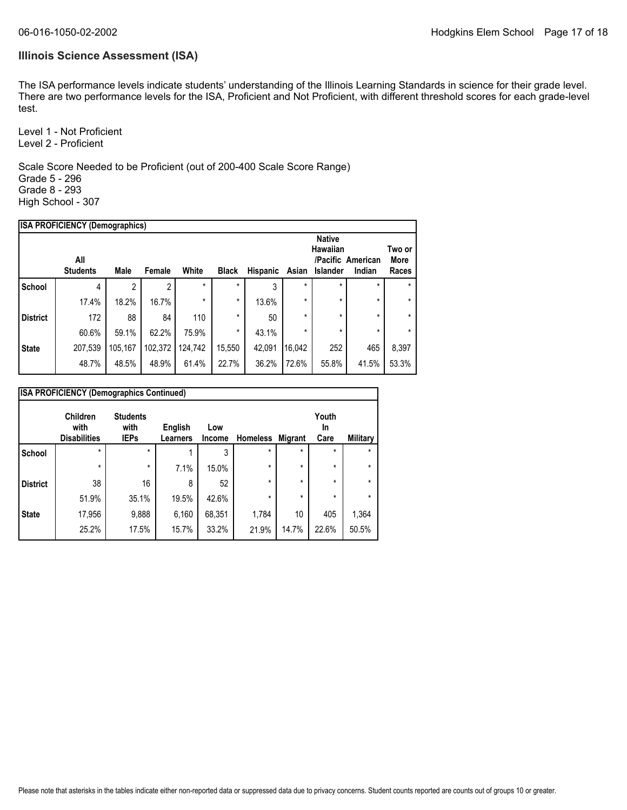#### **Illinois Science Assessment (ISA)**

The ISA performance levels indicate students' understanding of the Illinois Learning Standards in science for their grade level. There are two performance levels for the ISA, Proficient and Not Proficient, with different threshold scores for each grade-level test.

Level 1 - Not Proficient Level 2 - Proficient

Scale Score Needed to be Proficient (out of 200-400 Scale Score Range) Grade 5 - 296 Grade 8 - 293 High School - 307

|                 | <b>ISA PROFICIENCY (Demographics)</b> |             |         |         |              |          |         |                                              |                             |                         |
|-----------------|---------------------------------------|-------------|---------|---------|--------------|----------|---------|----------------------------------------------|-----------------------------|-------------------------|
|                 | All<br><b>Students</b>                | <b>Male</b> | Female  | White   | <b>Black</b> | Hispanic | Asian   | <b>Native</b><br>Hawaiian<br><b>Islander</b> | /Pacific American<br>Indian | Two or<br>More<br>Races |
| <b>School</b>   | 4                                     | 2           | 2       | $\star$ | $\star$      | 3        | $\star$ | $\star$                                      | *                           | $\star$                 |
|                 | 17.4%                                 | 18.2%       | 16.7%   | $\star$ | *            | 13.6%    | $\star$ | $\star$                                      | $\star$                     | $\star$                 |
| <b>District</b> | 172                                   | 88          | 84      | 110     | *            | 50       | $\star$ | $\star$                                      | $\star$                     | $\star$                 |
|                 | 60.6%                                 | 59.1%       | 62.2%   | 75.9%   | *            | 43.1%    | $\star$ | $\star$                                      | $\star$                     | $\star$                 |
| <b>State</b>    | 207,539                               | 105,167     | 102,372 | 124.742 | 15,550       | 42,091   | 16,042  | 252                                          | 465                         | 8,397                   |
|                 | 48.7%                                 | 48.5%       | 48.9%   | 61.4%   | 22.7%        | 36.2%    | 72.6%   | 55.8%                                        | 41.5%                       | 53.3%                   |
|                 |                                       |             |         |         |              |          |         |                                              |                             |                         |

|                 | <b>ISA PROFICIENCY (Demographics Continued)</b> |                                        |                            |               |                  |         |                            |          |
|-----------------|-------------------------------------------------|----------------------------------------|----------------------------|---------------|------------------|---------|----------------------------|----------|
|                 | Children<br>with<br><b>Disabilities</b>         | <b>Students</b><br>with<br><b>IEPs</b> | English<br><b>Learners</b> | Low<br>Income | Homeless Migrant |         | Youth<br><b>In</b><br>Care | Military |
| <b>School</b>   | $\star$                                         | $\star$                                |                            | 3             | $\star$          | $\star$ | $\star$                    | $\star$  |
|                 | $\star$                                         | $\star$                                | 7.1%                       | 15.0%         | $\star$          | $\star$ | $\star$                    | $\star$  |
| <b>District</b> | 38                                              | 16                                     | 8                          | 52            | $\star$          | $\star$ | $\star$                    | $\star$  |
|                 | 51.9%                                           | 35.1%                                  | 19.5%                      | 42.6%         | $\star$          | $\star$ | $\star$                    | $\star$  |
| <b>State</b>    | 17,956                                          | 9,888                                  | 6,160                      | 68,351        | 1,784            | 10      | 405                        | 1,364    |
|                 | 25.2%                                           | 17.5%                                  | 15.7%                      | 33.2%         | 21.9%            | 14.7%   | 22.6%                      | 50.5%    |